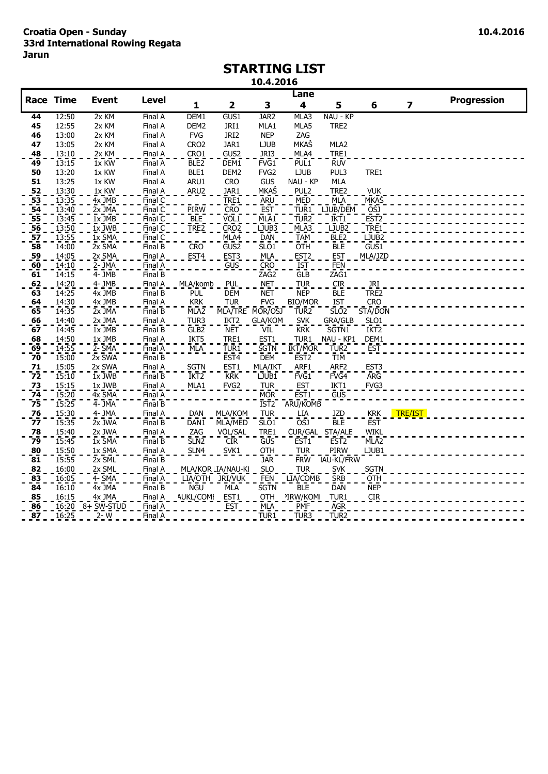## **STARTING LIST**

**10.4.2016**

|                                                |                    |                       |                       |                  |                    |                  | Lane             |                   |                    |                |                    |
|------------------------------------------------|--------------------|-----------------------|-----------------------|------------------|--------------------|------------------|------------------|-------------------|--------------------|----------------|--------------------|
| <b>Race Time</b>                               |                    | <b>Event</b>          | <b>Level</b>          | $\mathbf{1}$     | 2                  | 3                | 4                | 5                 | 6                  | 7              | <b>Progression</b> |
| 44                                             | 12:50              | 2x KM                 | Final A               | DEM1             | GUS1               | JAR <sub>2</sub> | MLA3             | NAU - KP          |                    |                |                    |
| 45                                             | 12:55              | 2x KM                 | Final A               | DEM <sub>2</sub> | JRI1               | MLA1             | MLA5             | TRE2              |                    |                |                    |
| 46                                             | 13:00              | 2x KM                 | Final A               | <b>FVG</b>       | JRI2               | <b>NEP</b>       | ZAG              |                   |                    |                |                    |
| 47                                             | 13:05              | 2x KM                 | Final A               | CRO <sub>2</sub> | JAR1               | <b>LJUB</b>      | <b>MKAŠ</b>      | MLA2              |                    |                |                    |
| 48                                             | 13:10              | 2x KM                 | Final A               | CRO1             | GUS2               | JRI3             | MLA4             | TRE1              |                    |                |                    |
| 49                                             | 13:15              | 1x KW                 | Final A               | BLE <sub>2</sub> | DEM1               | FVG1             | PUL1             | <b>RUV</b>        |                    |                |                    |
| 50                                             | 13:20              | 1x KW                 | Final A               | BLE1             | DEM <sub>2</sub>   | FVG <sub>2</sub> | <b>LJUB</b>      | PUL3              | TRE1               |                |                    |
| 51                                             | 13:25              | 1x KW                 | Final A               | ARU1             | <b>CRO</b>         | GUS              | NAU - KP         | <b>MLA</b>        |                    |                |                    |
| $\frac{52}{53}$                                | 13:30              | 1x KW                 | Final A               | ARU <sub>2</sub> | JAR1               | <u>MKAŠ</u>      | PUL <sub>2</sub> | TRE2              | <b>VUK</b>         |                |                    |
|                                                | 13:35              | $4x$ JMB              | FinalC                |                  | TRE <sub>1</sub>   | <b>ARU</b>       | MED              | MLA               | <b>MKAS</b>        |                |                    |
| 54<br>55<br>56<br>57                           | 13:40              | $2x$ JMA              | FinalC                | <b>PIRW</b>      | <b>CRO</b>         | <b>EST</b>       | TUR <sub>1</sub> | LJUB/DEM          | <b>OSJ</b>         |                |                    |
|                                                | 13:45              | $1x$ JMB              | Final                 | ble<br>Tre2      | VÖL1               | MLA <sub>1</sub> | TUR <sub>2</sub> | IKT <sub>1</sub>  | EST2<br>TRE1       |                |                    |
|                                                | $13:50$<br>$13:55$ | $1x$ JWB              | Final C               |                  | CRO <sub>2</sub>   | LJUB3            | MLA3<br>TAM      | LJUB <sub>2</sub> |                    |                |                    |
|                                                |                    | $1x$ SMA              | Final $\overline{C}$  |                  | MLA4               | <b>DAN</b>       |                  | BLE2              | LJUB <sub>2</sub>  |                |                    |
| 58                                             | 14:00              | $2x$ SMA              | Final B               | <b>CRO</b>       | GUS <sub>2</sub>   | SLO1             | OTH              | <b>BLE</b>        | $\overline{G}$ US1 |                |                    |
| $\frac{59}{60}$                                | 14:05              | 2x SMA                | Final A               | EST <sub>4</sub> | EST <sub>3</sub>   | <b>MLA</b>       | EST <sub>2</sub> | <b>EST</b>        | MLA/JZD            |                |                    |
|                                                | 14:10              | $2 - \overline{J}$ MA | Final A               |                  | <b>GUS</b>         | <b>CRO</b>       | <b>IST</b>       | FEN               |                    |                |                    |
| 61                                             | 14:15              | $\overline{4}$ - JMB  | FinalB                |                  |                    | ZAG2             | <b>GLB</b>       | ZAG1              |                    |                |                    |
| $\frac{62}{63}$                                | 14:20              | $4 - JMB$             | Final $\underline{A}$ | MLA/komb         | PUL                | <b>NET</b>       | <b>TUR</b>       | $\rm CIR$         | JRI                |                |                    |
|                                                | 14:25              | $4x$ JMB              | FinalB                | PUL              | <b>DEM</b>         | <b>NET</b>       | <b>NEP</b>       | <b>BLE</b>        | TRE2               |                |                    |
| $\frac{64}{65}$                                | 14:30              | 4x JMB                | Final A               | <b>KRK</b>       | <b>TUR</b>         | <b>FVG</b>       | <b>BIO/MOR</b>   | <b>IST</b>        | <b>CRO</b>         |                |                    |
|                                                | 14:35              | $2x$ JMA              | Final B               | MLA <sub>2</sub> | MLA/TRE MOR/OSJ    |                  | TUR <sub>2</sub> | SL <sub>02</sub>  | STA/DON            |                |                    |
| 66                                             | 14:40              | 2x JMA                | Final A               | TUR3             | IKT <sub>2</sub>   | GLA/KOM          | <b>SVK</b>       | GRA/GLB           | SLO <sub>1</sub>   |                |                    |
| $\overline{67}$                                | 14:45              | $1x$ JMB              | FinalB                | GLB <sub>2</sub> | <b>NET</b>         | VIL              | <b>KRK</b>       | SGTN1             | IKT <sub>2</sub>   |                |                    |
| 68                                             | 14:50              | 1x JMB                | Final A               | IKT5             | TRE1               | EST1             | TUR1             | NAU - KP1         | DEM1               |                |                    |
| 69                                             | 14:55              | $2 -$ SMA             | Final A               | MLA              | TUR1               | <b>SGTN</b>      | IKT/MOR          | TUR <sub>2</sub>  | <b>EST</b>         |                |                    |
| 70                                             | 15:00              | 2x SWA                | Final B               |                  | EST <sub>4</sub>   | <b>DEM</b>       | EST <sub>2</sub> | TIM               |                    |                |                    |
| 71                                             | 15:05              | 2x SWA                | Final A               | SGTN             | EST <sub>1</sub>   | MLA/IKT          | ARF1             | ARF <sub>2</sub>  | EST <sub>3</sub>   |                |                    |
| 72                                             | 15:10              | 1x JWB                | Final B               | IKT <sub>2</sub> | <b>KRK</b>         | LJUB1            | FVG <sub>1</sub> | FVG4              | <b>ARG</b>         |                |                    |
| $^{73}$                                        | 15:15<br>15:20     | 1x JWB                | Final A               | MLA1             | FVG <sub>2</sub>   | <b>TUR</b>       | <b>EST</b>       | IKT1              | FVG3               |                |                    |
| 74<br>75                                       |                    | 4x SMA                | Final A               |                  |                    | <b>MOR</b>       | EST <sub>1</sub> | GUS               |                    |                |                    |
|                                                | 15:25              | $4 - JMA$             | Final B               |                  |                    | IST <sub>2</sub> | ARU/KOMB         |                   |                    |                |                    |
| $\frac{76}{77}$                                | 15:30              | 4- JMA                | Final A               | DAN              | MLA/KOM            | <b>TUR</b>       | LIA              | JZD               | <b>KRK</b>         | <b>TRE/IST</b> |                    |
|                                                | 15:35              | 2x JWA                | Final B               | DAN1             | MLA/MED            | SLO <sub>1</sub> | OŠJ              | <b>BLE</b>        | <b>EST</b>         |                |                    |
| $\frac{78}{1}$                                 | 15:40              | 2x JWA                | Final A               | ZAG              | VÖL/SAL            | TRE1             |                  | ČUR/GAL STA/ALE   | <b>WIKL</b>        |                |                    |
| 79                                             | 15:45              | 1x SMA                | FinalB                | SLN2             | <b>CIR</b>         | GUS              | EST <sub>1</sub> | EST <sub>2</sub>  | MLA <sub>2</sub>   |                |                    |
| 80                                             | 15:50              | 1x SMA                | Final A               | SLN4             | SVK1               | OTH              | <b>TUR</b>       | PIRW              | LJUB1              |                |                    |
| $\overline{81}$                                | 15:55              | $2x$ SML              | FinalB                |                  |                    | <b>JAR</b>       | <b>FRW</b>       | IAU-KL/FRW        |                    |                |                    |
| $\begin{array}{c} 82 \\ \hline 83 \end{array}$ | 16:00              | $2x \underline{SML}$  | Final A               |                  | MLA/KOR LIA/NAU-KI | <b>SLO</b>       | <b>TUR</b>       | <b>SVK</b>        | <b>SGTN</b>        |                |                    |
|                                                | 16:05              | $4 - \overline{SMA}$  | Final A               |                  | LIA/OTH JRI/VUK    | <b>FEN</b>       | LIA/COMB         | <b>SRB</b>        | <b>OTH</b>         |                |                    |
| $\overline{84}$                                | 16:10              | $4x$ JMA              | Final B               | <b>NGU</b>       | MLA                | <b>SGTN</b>      | <b>BLE</b>       | <b>DAN</b>        | <b>NEP</b>         |                |                    |
| 85                                             | 16:15              | 4x JMA                | Final A               | <b>AUKL/COMI</b> | EST1               | OTH              | 'IRW/KOMI        | TUR1              | <b>CIR</b>         |                |                    |
| $\frac{86}{87}$                                | 16:20              | $8 + 5W - STUD$       | Final A               |                  | <b>EST</b>         | MLA              | <b>PMF</b>       | AGR <sup>-</sup>  |                    |                |                    |
|                                                | 16:25              | $2-W$                 | Final A               |                  |                    | TUR <sub>1</sub> | TUR3             | TUR <sub>2</sub>  |                    |                |                    |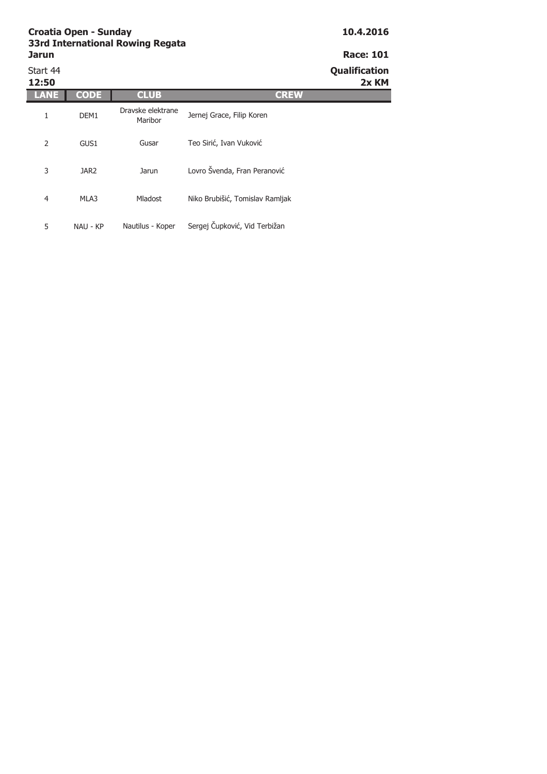| Start 44<br>12:50 |                  |                              |                                 | Qualification<br>2x KM |
|-------------------|------------------|------------------------------|---------------------------------|------------------------|
|                   | CODE             | <b>CLUB</b>                  | <b>CREW</b>                     |                        |
| 1                 | DEM <sub>1</sub> | Dravske elektrane<br>Maribor | Jernej Grace, Filip Koren       |                        |
| 2                 | GUS1             | Gusar                        | Teo Sirić, Ivan Vuković         |                        |
| 3                 | JAR <sub>2</sub> | Jarun                        | Lovro Švenda, Fran Peranović    |                        |
| 4                 | MLA3             | Mladost                      | Niko Brubišić, Tomislav Ramljak |                        |
| 5                 | NAU - KP         | Nautilus - Koper             | Sergej Čupković, Vid Terbižan   |                        |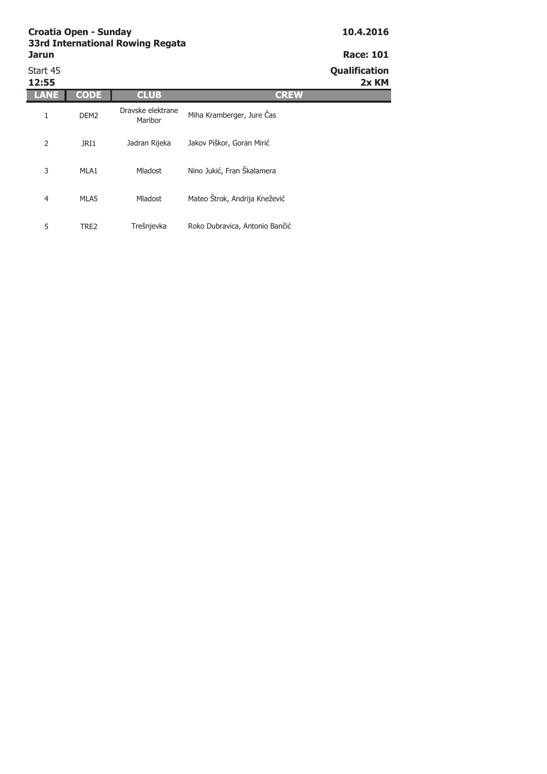| Start 45<br>12:55 |                  |                              |                                | <b>Qualification</b><br>2x KM |
|-------------------|------------------|------------------------------|--------------------------------|-------------------------------|
| ANE               | <b>CODE</b>      | <b>CLUB</b>                  | <b>CREW</b>                    |                               |
| 1                 | DEM <sub>2</sub> | Dravske elektrane<br>Maribor | Miha Kramberger, Jure Čas      |                               |
| 2                 | JRI1             | Jadran Rijeka                | Jakov Piškor, Goran Mirić      |                               |
| 3                 | MLA1             | Mladost                      | Nino Jukić, Fran Škalamera     |                               |
| 4                 | MLA5             | Mladost                      | Mateo Štrok, Andrija Knežević  |                               |
| 5                 | TRE2             | Trešnjevka                   | Roko Dubravica, Antonio Bančić |                               |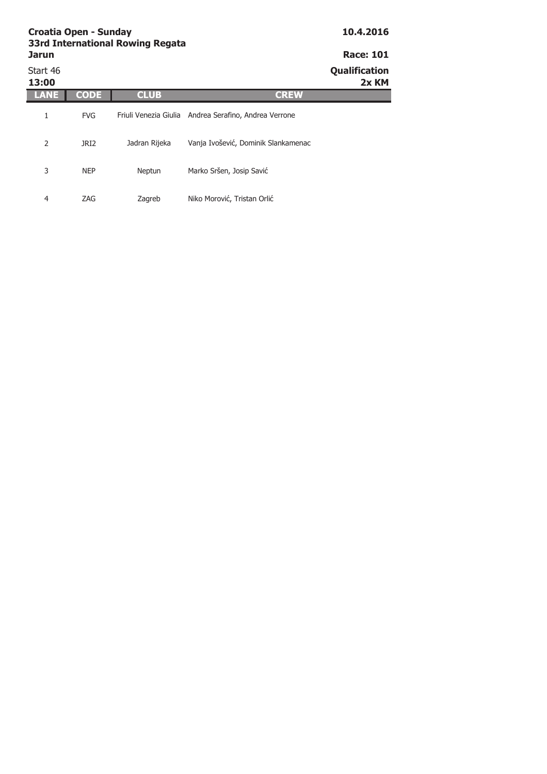| <b>Croatia Open - Sunday</b><br><b>33rd International Rowing Regata</b> | 10.4.2016   |               |                                                       |                        |  |  |
|-------------------------------------------------------------------------|-------------|---------------|-------------------------------------------------------|------------------------|--|--|
| <b>Jarun</b>                                                            |             |               |                                                       |                        |  |  |
| Start 46<br>13:00                                                       |             |               |                                                       | Qualification<br>2x KM |  |  |
|                                                                         | <b>CODE</b> | <b>CLUB</b>   | <b>CREW</b>                                           |                        |  |  |
| 1                                                                       | <b>FVG</b>  |               | Friuli Venezia Giulia Andrea Serafino, Andrea Verrone |                        |  |  |
| 2                                                                       | JRI2        | Jadran Rijeka | Vanja Ivošević, Dominik Slankamenac                   |                        |  |  |
| 3                                                                       | <b>NEP</b>  | Neptun        | Marko Sršen, Josip Savić                              |                        |  |  |

Zagreb Niko Morović, Tristan Orlić

4 ZAG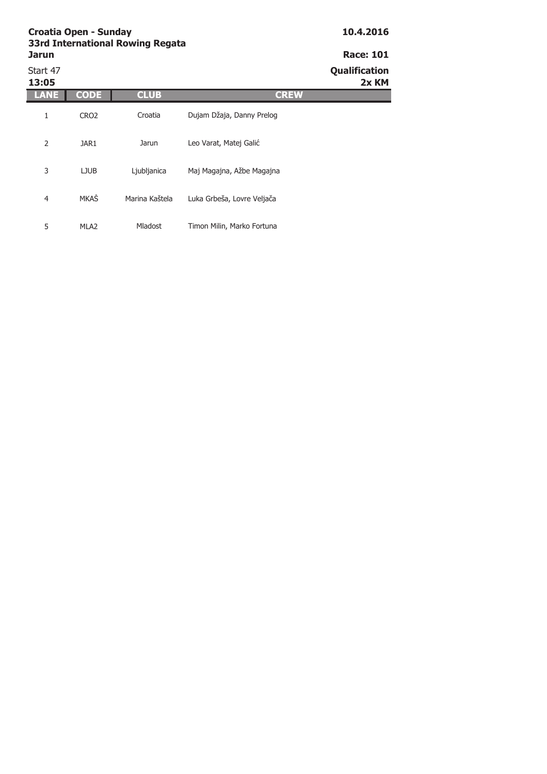| Start 47<br>13:05 |                  |                |                            | <b>Qualification</b><br>2x KM |
|-------------------|------------------|----------------|----------------------------|-------------------------------|
| LANE              | <b>CODE</b>      | <b>CLUB</b>    | <b>CREW</b>                |                               |
| 1                 | CRO <sub>2</sub> | Croatia        | Dujam Džaja, Danny Prelog  |                               |
| 2                 | JAR1             | Jarun          | Leo Varat, Matej Galić     |                               |
| 3                 | <b>LJUB</b>      | Ljubljanica    | Maj Magajna, Ažbe Magajna  |                               |
| $\overline{4}$    | MKAŠ             | Marina Kaštela | Luka Grbeša, Lovre Veljača |                               |
| 5                 | MLA <sub>2</sub> | <b>Mladost</b> | Timon Milin, Marko Fortuna |                               |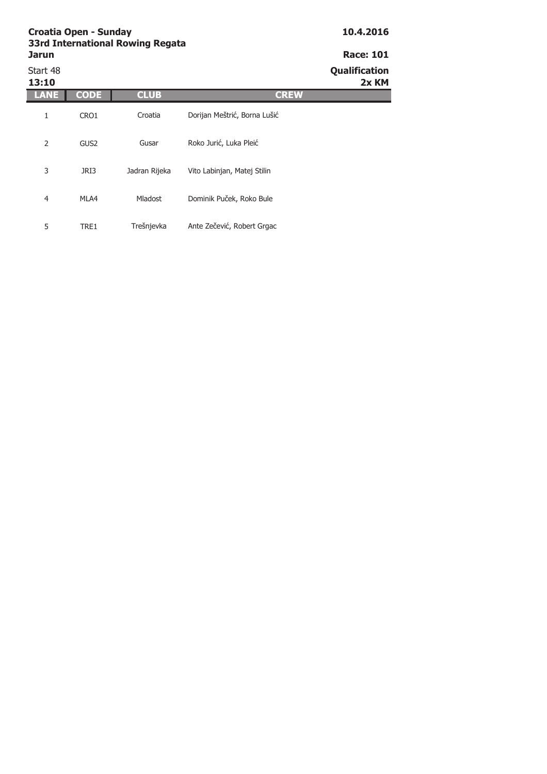| Start 48<br>13:10 |                  |                |                              | <b>Qualification</b><br>2x KM |
|-------------------|------------------|----------------|------------------------------|-------------------------------|
| LANE              | <b>CODE</b>      | <b>CLUB</b>    | <b>CREW</b>                  |                               |
| 1                 | CRO1             | Croatia        | Dorijan Meštrić, Borna Lušić |                               |
| 2                 | GUS <sub>2</sub> | Gusar          | Roko Jurić, Luka Pleić       |                               |
| 3                 | JRI3             | Jadran Rijeka  | Vito Labinjan, Matej Stilin  |                               |
| 4                 | MLA4             | <b>Mladost</b> | Dominik Puček, Roko Bule     |                               |
| 5                 | TRE1             | Trešnjevka     | Ante Zečević, Robert Grgac   |                               |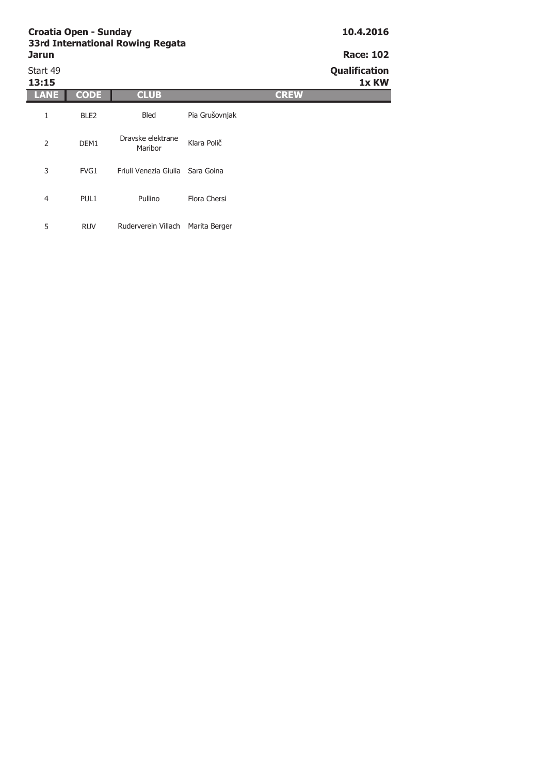# Start 49 **Qualification**

### **13:15 1x KW LANE CODE CLUB CLUB CREW** 1 BLE2 2 DEM1 3 FVG1 Bled Pia Grušovnjak Dravske elektrane Klara Polič Friuli Venezia Giulia Sara Goina

Pullino Flora Chersi

5 RUV Ruderverein Villach Marita Berger

4 PUL1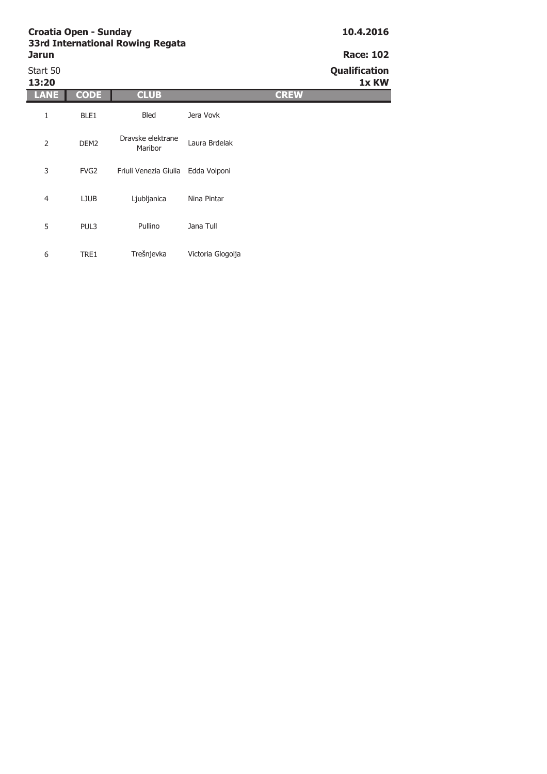| Start 50<br>13:20 |                  |                              |                   |             | Qualification<br>1x KW |
|-------------------|------------------|------------------------------|-------------------|-------------|------------------------|
| LANE              | <b>CODE</b>      | <b>CLUB</b>                  |                   | <b>CREW</b> |                        |
| 1                 | BLE1             | Bled                         | Jera Vovk         |             |                        |
| $\overline{2}$    | DEM <sub>2</sub> | Dravske elektrane<br>Maribor | Laura Brdelak     |             |                        |
| 3                 | FVG <sub>2</sub> | Friuli Venezia Giulia        | Edda Volponi      |             |                        |
| $\overline{4}$    | <b>LJUB</b>      | Ljubljanica                  | Nina Pintar       |             |                        |
| 5                 | PUL3             | Pullino                      | Jana Tull         |             |                        |
| 6                 | TRE1             | Trešnjevka                   | Victoria Glogolja |             |                        |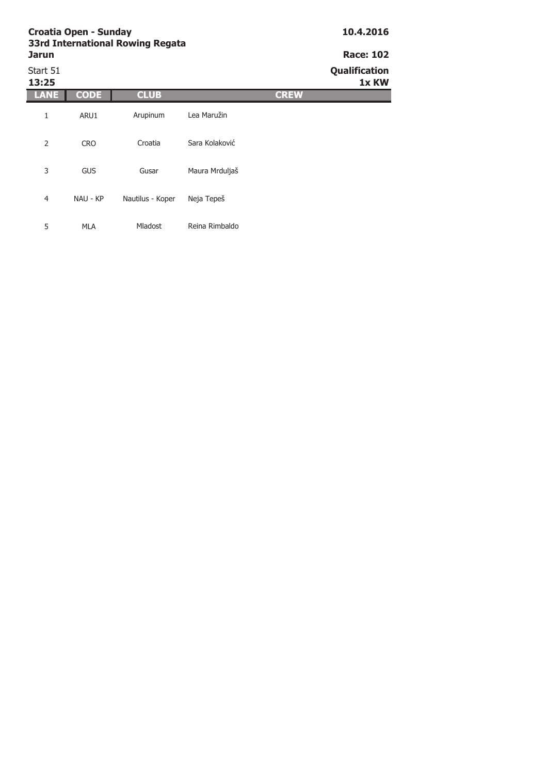# Start 51 **Qualification**

| 13:25          |             |                  |                | 1x KW |
|----------------|-------------|------------------|----------------|-------|
| LANE           | <b>CODE</b> | <b>CLUB</b>      | <b>CREW</b>    |       |
| 1              | ARU1        | Arupinum         | Lea Maružin    |       |
| 2              | <b>CRO</b>  | Croatia          | Sara Kolaković |       |
| 3              | <b>GUS</b>  | Gusar            | Maura Mrduljaš |       |
| $\overline{4}$ | NAU - KP    | Nautilus - Koper | Neja Tepeš     |       |
| 5              | <b>MLA</b>  | Mladost          | Reina Rimbaldo |       |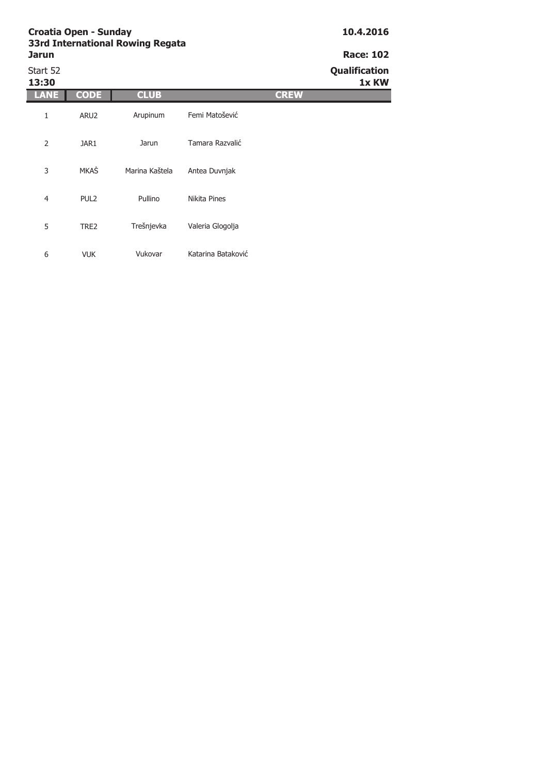| Start 52<br>13:30 |                  |                |                    | Qualification<br>1x KW |
|-------------------|------------------|----------------|--------------------|------------------------|
| LANE              | <b>CODE</b>      | <b>CLUB</b>    |                    | <b>CREW</b>            |
| 1                 | ARU2             | Arupinum       | Femi Matošević     |                        |
| $\overline{2}$    | JAR1             | Jarun          | Tamara Razvalić    |                        |
| 3                 | <b>MKAŠ</b>      | Marina Kaštela | Antea Duvnjak      |                        |
| $\overline{4}$    | PUL <sub>2</sub> | Pullino        | Nikita Pines       |                        |
| 5                 | TRE2             | Trešnjevka     | Valeria Glogolja   |                        |
| 6                 | <b>VUK</b>       | Vukovar        | Katarina Bataković |                        |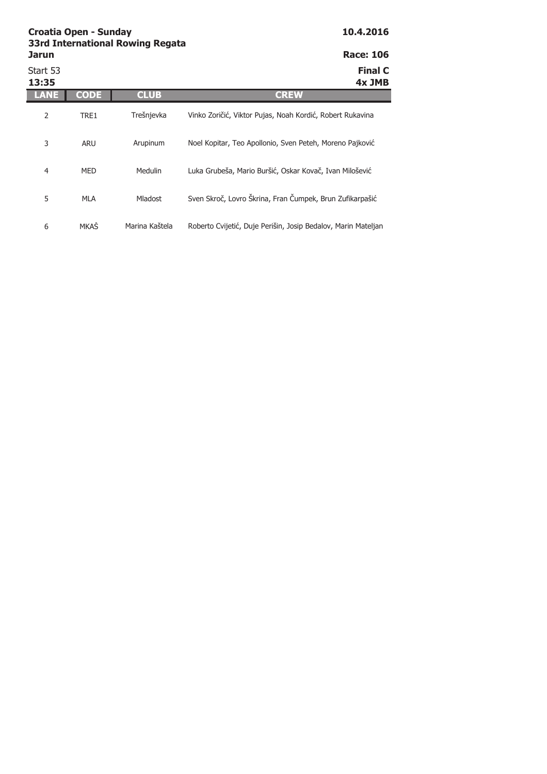| Jarun             |             |                | <b>Race: 106</b>                                              |
|-------------------|-------------|----------------|---------------------------------------------------------------|
| Start 53<br>13:35 |             |                | <b>Final C</b><br>4x JMB                                      |
| LANE              | <b>CODE</b> | <b>CLUB</b>    | <b>CREW</b>                                                   |
| 2                 | TRE1        | Trešnjevka     | Vinko Zoričić, Viktor Pujas, Noah Kordić, Robert Rukavina     |
| 3                 | <b>ARU</b>  | Arupinum       | Noel Kopitar, Teo Apollonio, Sven Peteh, Moreno Pajković      |
| 4                 | <b>MED</b>  | <b>Medulin</b> | Luka Grubeša, Mario Buršić, Oskar Kovač, Ivan Milošević       |
| 5                 | <b>MLA</b>  | <b>Mladost</b> | Sven Skroč, Lovro Škrina, Fran Čumpek, Brun Zufikarpašić      |
| 6                 | <b>MKAS</b> | Marina Kaštela | Roberto Cvijetić, Duje Perišin, Josip Bedalov, Marin Mateljan |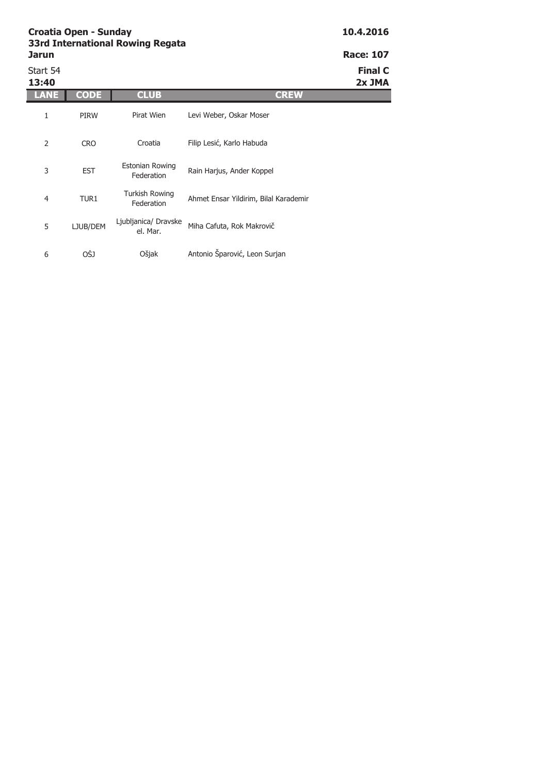| <b>Jarun</b> |             | <b>SSIG INCERTIGUORE ROWING REGALA</b> |                         | <b>Race: 107</b> |
|--------------|-------------|----------------------------------------|-------------------------|------------------|
| Start 54     |             |                                        |                         | <b>Final C</b>   |
| 13:40        |             |                                        |                         | 2x JMA           |
| LANE         | <b>CODE</b> | <b>CLUB</b>                            | CR EW                   |                  |
|              | <b>PIRW</b> | Pirat Wien                             | Levi Weber, Oskar Moser |                  |

2 CRO 3 EST 4 TUR1 5 LJUB/DEM 6 OŠJ Turkish Rowing Irkish Rowing<br>Federation Ahmet Ensar Yildirim, Bilal Karademir Ljubljanica/ Dravske anica/ Dravske<br>el. Mar. Miha Cafuta, Rok Makrovič Ošjak Antonio Šparović, Leon Surjan Croatia Filip Lesić, Karlo Habuda Estonian Rowing tonian Rowing<br>Federation Rain Harjus, Ander Koppel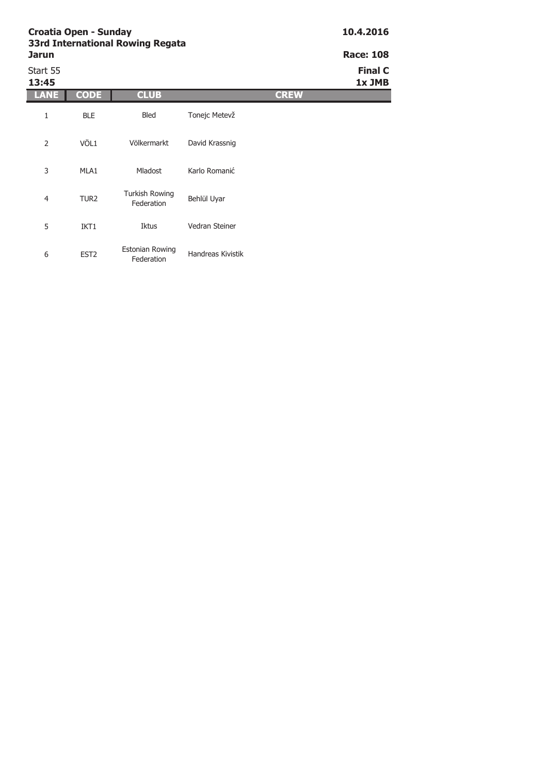| <b>Jarun</b>      |                  |                                      |                   | <b>Race: 108</b>         |
|-------------------|------------------|--------------------------------------|-------------------|--------------------------|
| Start 55<br>13:45 |                  |                                      |                   | <b>Final C</b><br>1x JMB |
| LANE              | <b>CODE</b>      | <b>CLUB</b>                          |                   | <b>CREW</b>              |
| 1                 | <b>BLE</b>       | Bled                                 | Tonejc Metevž     |                          |
| 2                 | VÖL1             | Völkermarkt                          | David Krassnig    |                          |
| 3                 | MLA1             | <b>Mladost</b>                       | Karlo Romanić     |                          |
| $\overline{4}$    | TUR <sub>2</sub> | <b>Turkish Rowing</b><br>Federation  | Behlül Uyar       |                          |
| 5                 | IKT1             | Iktus                                | Vedran Steiner    |                          |
| 6                 | EST <sub>2</sub> | <b>Estonian Rowing</b><br>Federation | Handreas Kivistik |                          |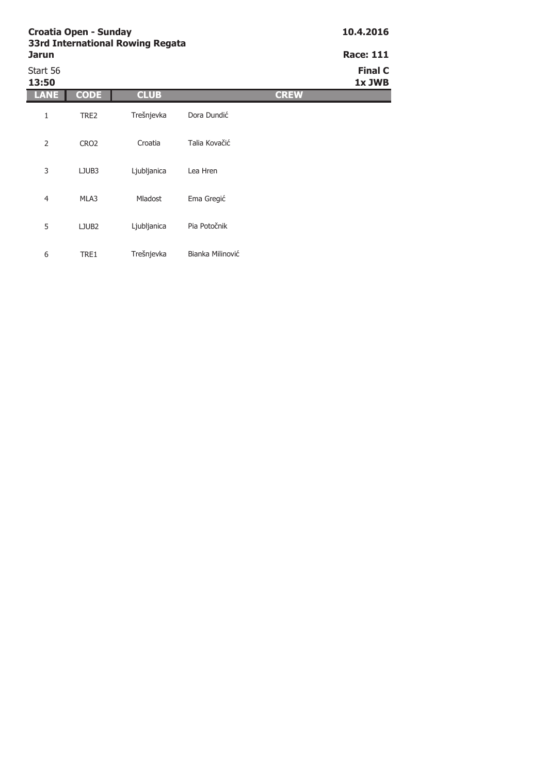| <b>Jarun</b>      |                   |             |                  |             | <b>Race: 111</b>         |
|-------------------|-------------------|-------------|------------------|-------------|--------------------------|
| Start 56<br>13:50 |                   |             |                  |             | <b>Final C</b><br>1x JWB |
| LANE              | <b>CODE</b>       | <b>CLUB</b> |                  | <b>CREW</b> |                          |
| 1                 | TRE2              | Trešnjevka  | Dora Dundić      |             |                          |
| 2                 | CRO <sub>2</sub>  | Croatia     | Talia Kovačić    |             |                          |
| 3                 | LJUB3             | Ljubljanica | Lea Hren         |             |                          |
| 4                 | MLA3              | Mladost     | Ema Gregić       |             |                          |
| 5                 | LJUB <sub>2</sub> | Ljubljanica | Pia Potočnik     |             |                          |
| 6                 | TRE1              | Trešnjevka  | Bianka Milinović |             |                          |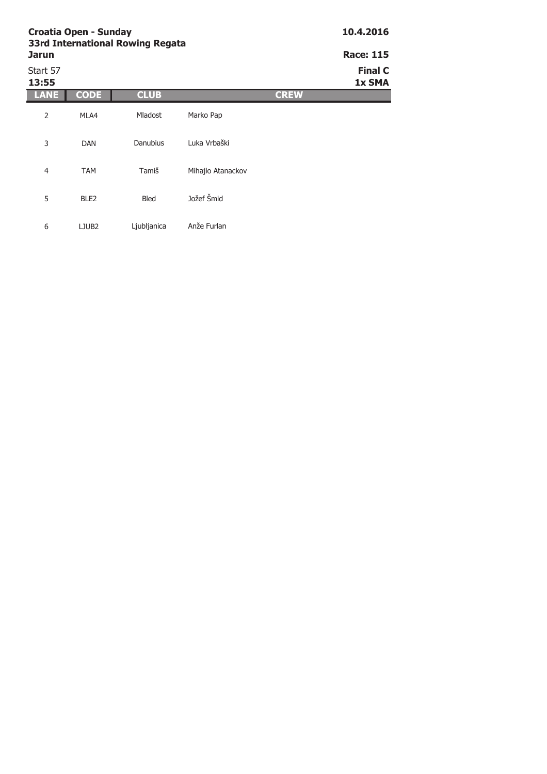| <b>Croatia Open - Sunday</b><br><b>33rd International Rowing Regata</b> | 10.4.2016        |                  |                   |             |                          |
|-------------------------------------------------------------------------|------------------|------------------|-------------------|-------------|--------------------------|
| <b>Jarun</b>                                                            |                  | <b>Race: 115</b> |                   |             |                          |
| Start 57<br>13:55                                                       |                  |                  |                   |             | <b>Final C</b><br>1x SMA |
| ANE                                                                     | <b>CODE</b>      | <b>CLUB</b>      |                   | <b>CREW</b> |                          |
| $\overline{2}$                                                          | MLA4             | <b>Mladost</b>   | Marko Pap         |             |                          |
| 3                                                                       | <b>DAN</b>       | Danubius         | Luka Vrbaški      |             |                          |
| $\overline{4}$                                                          | <b>TAM</b>       | Tamiš            | Mihajlo Atanackov |             |                          |
| 5                                                                       | BLE <sub>2</sub> | <b>Bled</b>      | Jožef Šmid        |             |                          |

Ljubljanica Anže Furlan

5 BLE2

6 LJUB2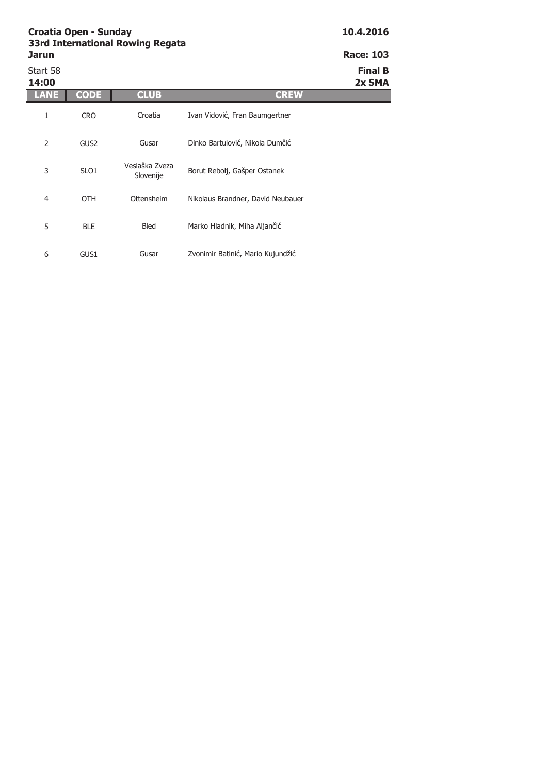| <b>Jarun</b>      |                  |                             |                                   | <b>Race: 103</b>         |
|-------------------|------------------|-----------------------------|-----------------------------------|--------------------------|
| Start 58<br>14:00 |                  |                             |                                   | <b>Final B</b><br>2x SMA |
| ANE               | <b>CODE</b>      | <b>CLUB</b>                 | <b>CREW</b>                       |                          |
| 1                 | <b>CRO</b>       | Croatia                     | Ivan Vidović, Fran Baumgertner    |                          |
| 2                 | GUS <sub>2</sub> | Gusar                       | Dinko Bartulović, Nikola Dumčić   |                          |
| 3                 | SLO <sub>1</sub> | Veslaška Zveza<br>Slovenije | Borut Rebolj, Gašper Ostanek      |                          |
| $\overline{4}$    | <b>OTH</b>       | Ottensheim                  | Nikolaus Brandner, David Neubauer |                          |
| 5                 | <b>BLE</b>       | Bled                        | Marko Hladnik, Miha Aljančić      |                          |
| 6                 | GUS1             | Gusar                       | Zvonimir Batinić, Mario Kujundžić |                          |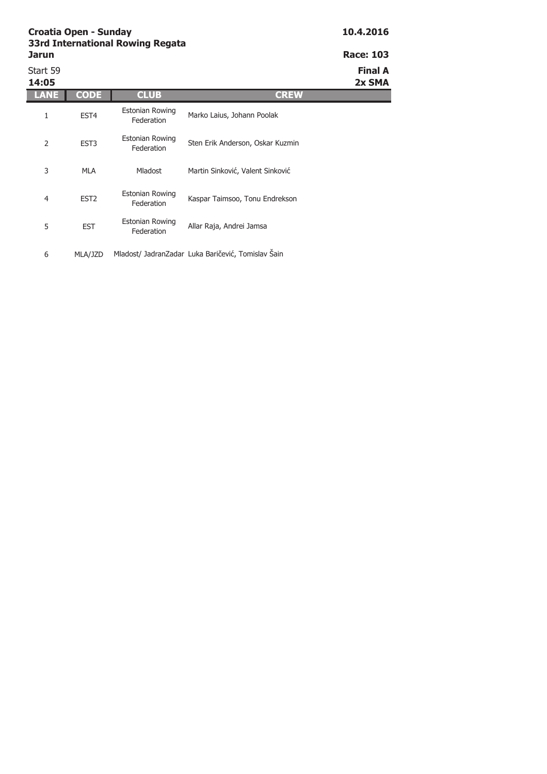| Start 59<br>14:05 |                  |                                      |                                  | <b>Final A</b><br>2x SMA |
|-------------------|------------------|--------------------------------------|----------------------------------|--------------------------|
| LANE              | <b>CODE</b>      | <b>CLUB</b>                          | <b>CREW</b>                      |                          |
| 1                 | EST <sub>4</sub> | <b>Estonian Rowing</b><br>Federation | Marko Laius, Johann Poolak       |                          |
| 2                 | EST <sub>3</sub> | <b>Estonian Rowing</b><br>Federation | Sten Erik Anderson, Oskar Kuzmin |                          |
| 3                 | MLA              | <b>Mladost</b>                       | Martin Sinković, Valent Sinković |                          |
| 4                 | EST <sub>2</sub> | <b>Estonian Rowing</b><br>Federation | Kaspar Taimsoo, Tonu Endrekson   |                          |
| 5                 | <b>EST</b>       | <b>Estonian Rowing</b><br>Federation | Allar Raja, Andrei Jamsa         |                          |
|                   |                  |                                      |                                  |                          |

6 MLA/JZD Mladost/ JadranZadar Luka Baričević, Tomislav Šain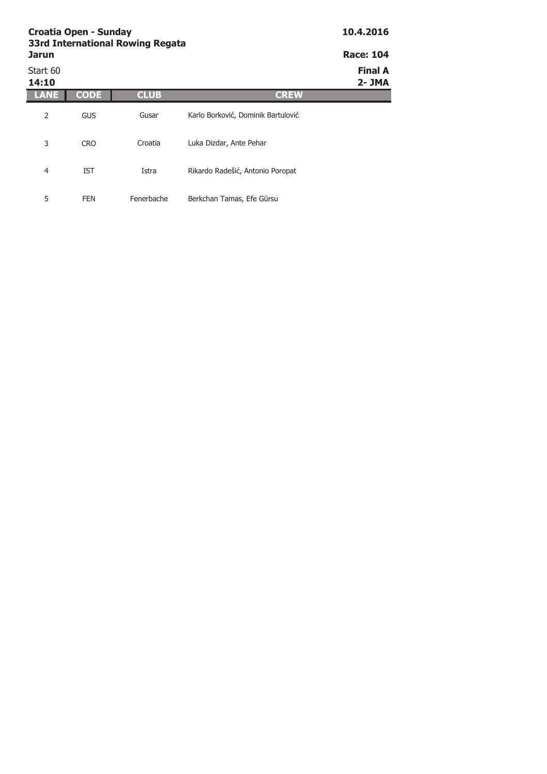| <b>Croatia Open - Sunday</b><br><b>33rd International Rowing Regata</b> | 10.4.2016   |             |                                    |                             |
|-------------------------------------------------------------------------|-------------|-------------|------------------------------------|-----------------------------|
| <b>Jarun</b>                                                            |             |             |                                    | <b>Race: 104</b>            |
| Start 60<br>14:10                                                       |             |             |                                    | <b>Final A</b><br>$2 - JMA$ |
|                                                                         | <b>CODE</b> | <b>CLUB</b> | <b>CREW</b>                        |                             |
| 2                                                                       | <b>GUS</b>  | Gusar       | Karlo Borković, Dominik Bartulović |                             |
| 3                                                                       | <b>CRO</b>  | Croatia     | Luka Dizdar, Ante Pehar            |                             |
| 4                                                                       | <b>IST</b>  | Istra       | Rikardo Radešić, Antonio Poropat   |                             |
| 5                                                                       | <b>FEN</b>  | Fenerbache  | Berkchan Tamas, Efe Gürsu          |                             |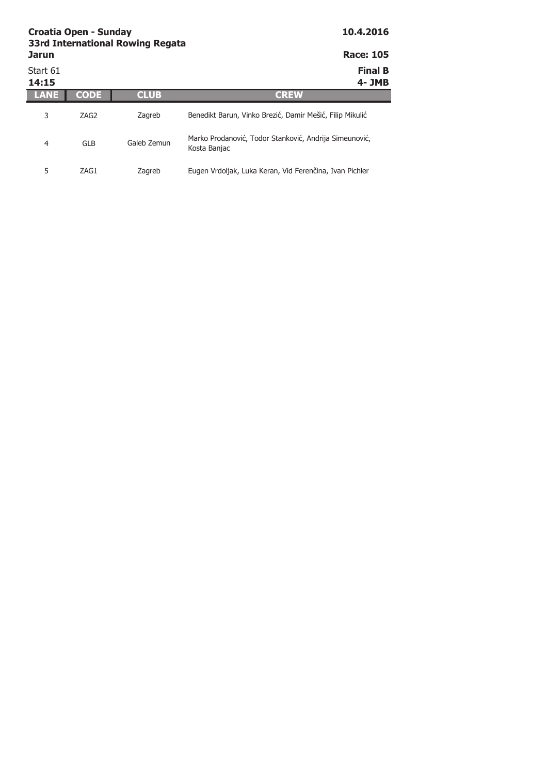|                   | Croatia Open - Sunday | <b>33rd International Rowing Regata</b> | 10.4.2016                                                              |  |
|-------------------|-----------------------|-----------------------------------------|------------------------------------------------------------------------|--|
| <b>Jarun</b>      |                       |                                         | <b>Race: 105</b>                                                       |  |
| Start 61<br>14:15 |                       |                                         | <b>Final B</b><br>4- JMB                                               |  |
|                   | <b>CODE</b>           | <b>CLUB</b>                             | <b>CREW</b>                                                            |  |
| 3                 | ZAG2                  | Zagreb                                  | Benedikt Barun, Vinko Brezić, Damir Mešić, Filip Mikulić               |  |
| 4                 | <b>GLB</b>            | Galeb Zemun                             | Marko Prodanović, Todor Stanković, Andrija Simeunović,<br>Kosta Banjac |  |
| 5                 | ZAG1                  | Zagreb                                  | Eugen Vrdoljak, Luka Keran, Vid Ferenčina, Ivan Pichler                |  |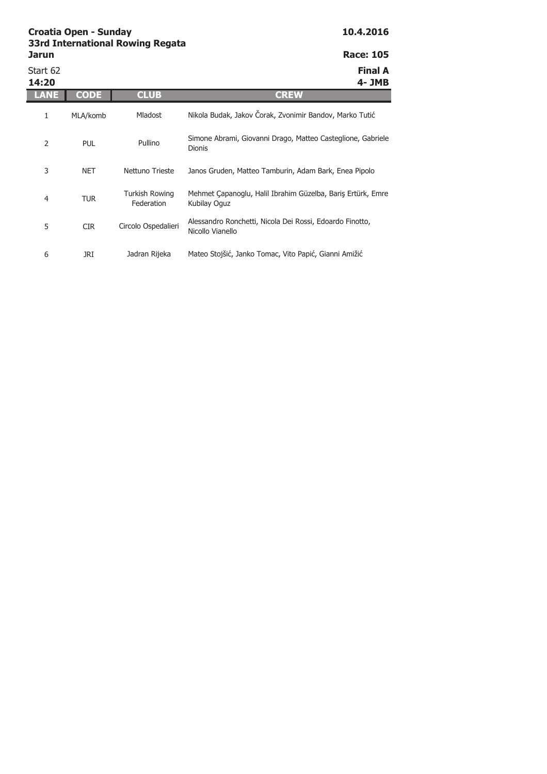Start 62 **Final A 14:20 4- JMB LANE CODE CLUB CREW** 1 MLA/komb 2 PUL 3 NET 4 TUR 5 CIR 6 JRI Turkish Rowing Federation Mehmet Çapanoglu, Halil Ibrahim Güzelba, Bariş Ertürk, Emre Kubilay Oguz Circolo Ospedalieri Alessandro Ronchetti, Nicola Dei Rossi, Edoardo Finotto, Nicollo Vianello Jadran Rijeka Mateo Stojšić, Janko Tomac, Vito Papić, Gianni Amižić Mladost Nikola Budak, Jakov Čorak, Zvonimir Bandov, Marko Tutić Pullino Simone Abrami, Giovanni Drago, Matteo Casteglione, Gabriele Dionis Nettuno Trieste Janos Gruden, Matteo Tamburin, Adam Bark, Enea Pipolo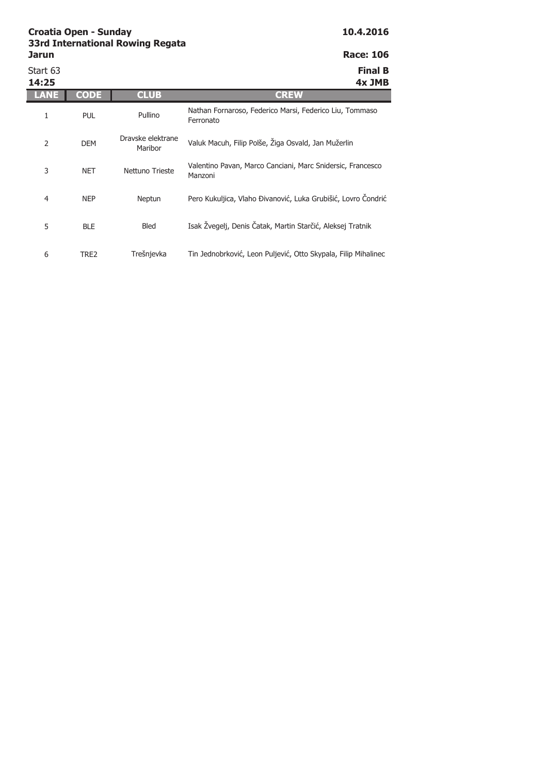Start 63 **Final B**

| 14:25 |             |                              | 4x JMB                                                                |
|-------|-------------|------------------------------|-----------------------------------------------------------------------|
| LANE  | <b>CODE</b> | <b>CLUB</b>                  | <b>CREW</b>                                                           |
| 1     | <b>PUL</b>  | Pullino                      | Nathan Fornaroso, Federico Marsi, Federico Liu, Tommaso<br>Ferronato  |
| 2     | <b>DEM</b>  | Dravske elektrane<br>Maribor | Valuk Macuh, Filip Polše, Žiga Osvald, Jan Mužerlin                   |
| 3     | <b>NET</b>  | Nettuno Trieste              | Valentino Pavan, Marco Canciani, Marc Snidersic, Francesco<br>Manzoni |
| 4     | <b>NEP</b>  | Neptun                       | Pero Kukuljica, Vlaho Đivanović, Luka Grubišić, Lovro Čondrić         |
| 5     | <b>BLE</b>  | Bled                         | Isak Žvegelj, Denis Čatak, Martin Starčić, Aleksej Tratnik            |
| 6     | TRE2        | Trešnjevka                   | Tin Jednobrković, Leon Puljević, Otto Skypala, Filip Mihalinec        |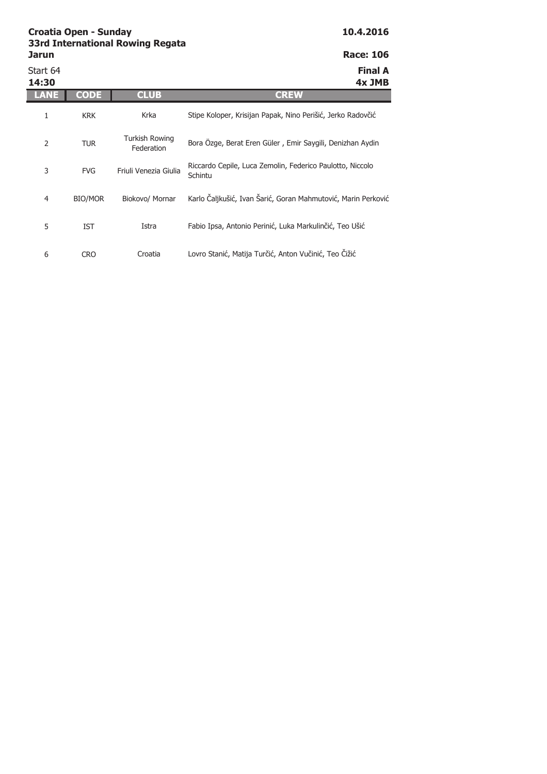| Jarun             |                |                              | <b>Race: 106</b>                                                     |
|-------------------|----------------|------------------------------|----------------------------------------------------------------------|
| Start 64<br>14:30 |                |                              | <b>Final A</b><br>4x JMB                                             |
| LANE              | CODE           | <b>CLUB</b>                  | <b>CREW</b>                                                          |
| 1                 | <b>KRK</b>     | Krka                         | Stipe Koloper, Krisijan Papak, Nino Perišić, Jerko Radovčić          |
| 2                 | <b>TUR</b>     | Turkish Rowing<br>Federation | Bora Özge, Berat Eren Güler, Emir Saygili, Denizhan Aydin            |
| 3                 | <b>FVG</b>     | Friuli Venezia Giulia        | Riccardo Cepile, Luca Zemolin, Federico Paulotto, Niccolo<br>Schintu |
| 4                 | <b>BIO/MOR</b> | Biokovo/ Mornar              | Karlo Čaljkušić, Ivan Šarić, Goran Mahmutović, Marin Perković        |
| 5                 | IST            | Istra                        | Fabio Ipsa, Antonio Perinić, Luka Markulinčić, Teo Ušić              |
| 6                 | <b>CRO</b>     | Croatia                      | Lovro Stanić, Matija Turčić, Anton Vučinić, Teo Čižić                |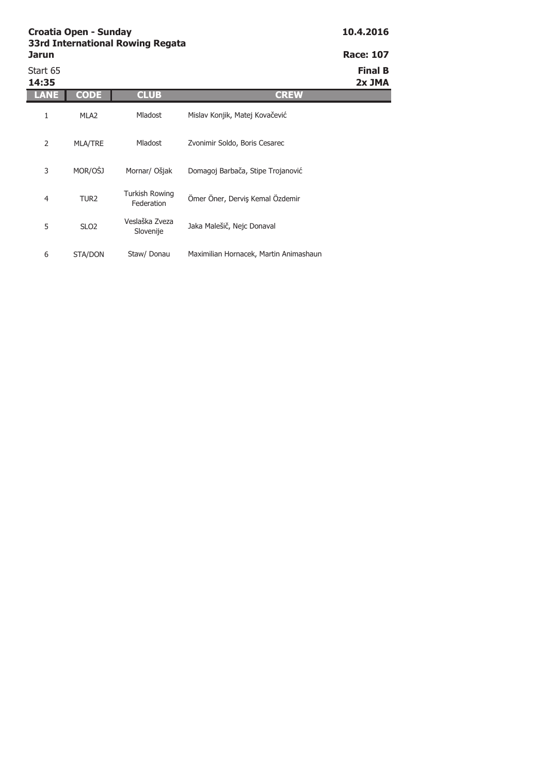| Jarun             |                  |                              |                                        | <b>Race: 107</b>         |
|-------------------|------------------|------------------------------|----------------------------------------|--------------------------|
| Start 65<br>14:35 |                  |                              |                                        | <b>Final B</b><br>2x JMA |
| LANE              | <b>CODE</b>      | <b>CLUB</b>                  | <b>CREW</b>                            |                          |
| 1                 | MLA <sub>2</sub> | <b>Mladost</b>               | Mislav Konjik, Matej Kovačević         |                          |
| 2                 | MLA/TRE          | Mladost                      | Zvonimir Soldo, Boris Cesarec          |                          |
| 3                 | MOR/OŠJ          | Mornar/ Ošjak                | Domagoj Barbača, Stipe Trojanović      |                          |
| $\overline{4}$    | TUR <sub>2</sub> | Turkish Rowing<br>Federation | Ömer Öner, Derviş Kemal Özdemir        |                          |
| 5                 | SLO <sub>2</sub> | Veslaška Zveza<br>Slovenije  | Jaka Malešič, Nejc Donaval             |                          |
| 6                 | STA/DON          | Staw/ Donau                  | Maximilian Hornacek, Martin Animashaun |                          |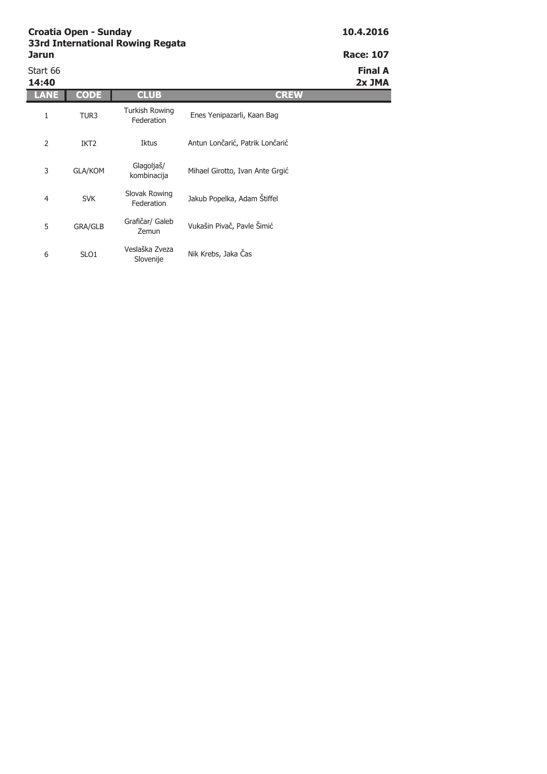| <b>Race: 107</b> |  |
|------------------|--|
|                  |  |

| Start 66<br>14:40 |                  |                                     |                                 | <b>Final A</b><br>2x JMA |
|-------------------|------------------|-------------------------------------|---------------------------------|--------------------------|
| ANE               | <b>CODE</b>      | <b>CLUB</b>                         | <b>CREW</b>                     |                          |
| 1                 | TUR3             | <b>Turkish Rowing</b><br>Federation | Enes Yenipazarli, Kaan Bag      |                          |
| 2                 | IKT <sub>2</sub> | Iktus                               | Antun Lončarić, Patrik Lončarić |                          |
| 3                 | <b>GLA/KOM</b>   | Glagoljaš/<br>kombinacija           | Mihael Girotto, Ivan Ante Grgić |                          |
| 4                 | <b>SVK</b>       | Slovak Rowing<br>Federation         | Jakub Popelka, Adam Štiffel     |                          |
| 5                 | <b>GRA/GLB</b>   | Grafičar/ Galeb<br>Zemun            | Vukašin Pivač, Pavle Šimić      |                          |
| 6                 | SLO <sub>1</sub> | Veslaška Zveza<br>Slovenije         | Nik Krebs, Jaka Čas             |                          |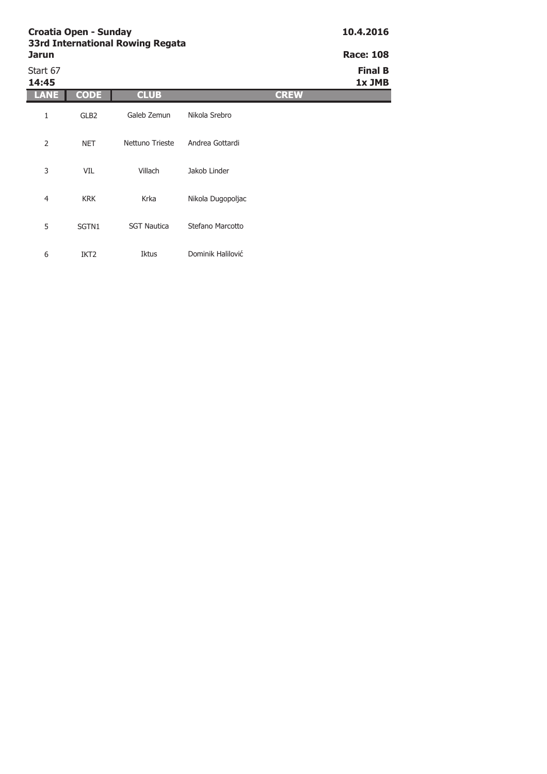| <b>Jarun</b>      |                  |                    |                   | <b>Race: 108</b>         |
|-------------------|------------------|--------------------|-------------------|--------------------------|
| Start 67<br>14:45 |                  |                    |                   | <b>Final B</b><br>1x JMB |
| AN                | <b>CODE</b>      | <b>CLUB</b>        | <b>CREW</b>       |                          |
| 1                 | GLB <sub>2</sub> | Galeb Zemun        | Nikola Srebro     |                          |
| 2                 | <b>NET</b>       | Nettuno Trieste    | Andrea Gottardi   |                          |
| 3                 | VIL              | Villach            | Jakob Linder      |                          |
| $\overline{4}$    | <b>KRK</b>       | Krka               | Nikola Dugopoljac |                          |
| 5                 | SGTN1            | <b>SGT Nautica</b> | Stefano Marcotto  |                          |
| 6                 | IKT <sub>2</sub> | <b>Iktus</b>       | Dominik Halilović |                          |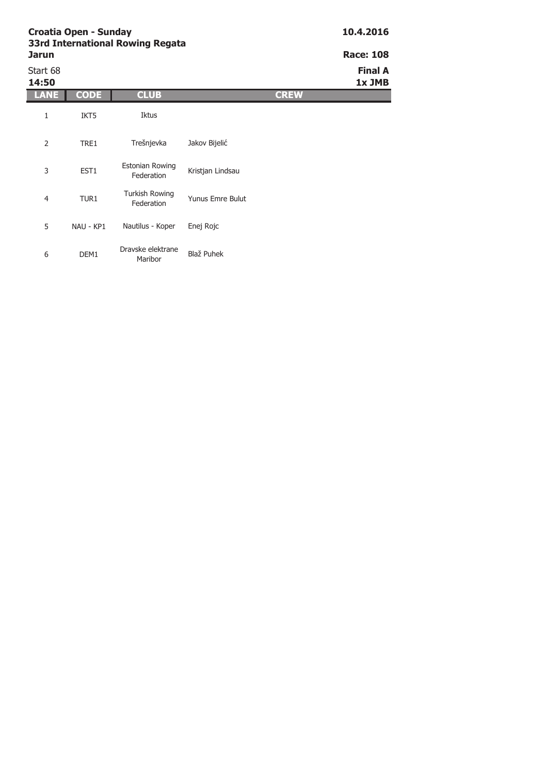5 NAU - KP1

6 DEM1

| <b>Jarun</b>      |             |                                      |                         | <b>Race: 108</b>         |
|-------------------|-------------|--------------------------------------|-------------------------|--------------------------|
| Start 68<br>14:50 |             |                                      |                         | <b>Final A</b><br>1x JMB |
| LANE              | <b>CODE</b> | <b>CLUB</b>                          | <b>CREW</b>             |                          |
| 1                 | IKT5        | Iktus                                |                         |                          |
| $\overline{2}$    | TRE1        | Trešnjevka                           | Jakov Bijelić           |                          |
| 3                 | EST1        | <b>Estonian Rowing</b><br>Federation | Kristjan Lindsau        |                          |
| $\overline{4}$    | TUR1        | <b>Turkish Rowing</b><br>Federation  | <b>Yunus Emre Bulut</b> |                          |

Blaž Puhek

Nautilus - Koper Enej Rojc

Dravske elektrane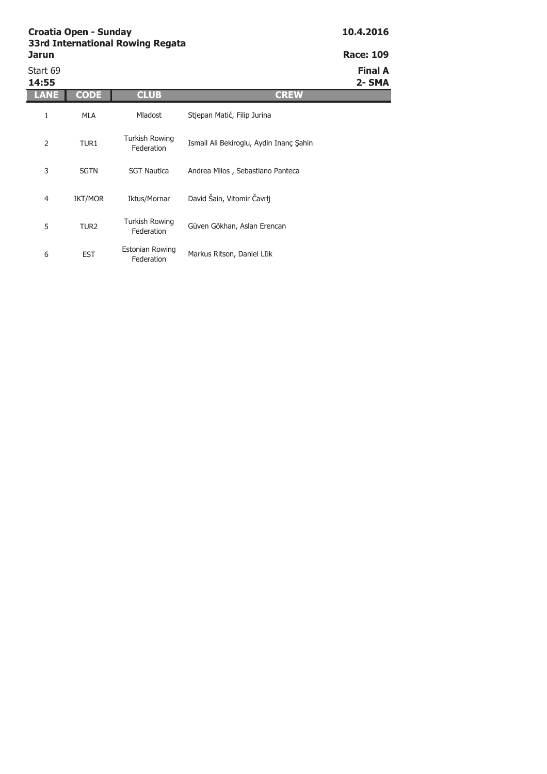| Jarun             |                  |                                      |                                         | <b>Race: 109</b>        |
|-------------------|------------------|--------------------------------------|-----------------------------------------|-------------------------|
| Start 69<br>14:55 |                  |                                      |                                         | <b>Final A</b><br>2-SMA |
| ANE               | <b>CODE</b>      | <b>CLUB</b>                          | <b>CREW</b>                             |                         |
| 1                 | <b>MLA</b>       | Mladost                              | Stjepan Matić, Filip Jurina             |                         |
| 2                 | TUR1             | Turkish Rowing<br>Federation         | Ismail Ali Bekiroglu, Aydin Inanc Sahin |                         |
| 3                 | <b>SGTN</b>      | <b>SGT Nautica</b>                   | Andrea Milos, Sebastiano Panteca        |                         |
| $\overline{4}$    | <b>IKT/MOR</b>   | Iktus/Mornar                         | David Šain, Vitomir Čavrlj              |                         |
| 5                 | TUR <sub>2</sub> | <b>Turkish Rowing</b><br>Federation  | Güven Gökhan, Aslan Erencan             |                         |
| 6                 | <b>EST</b>       | <b>Estonian Rowing</b><br>Federation | Markus Ritson, Daniel LIik              |                         |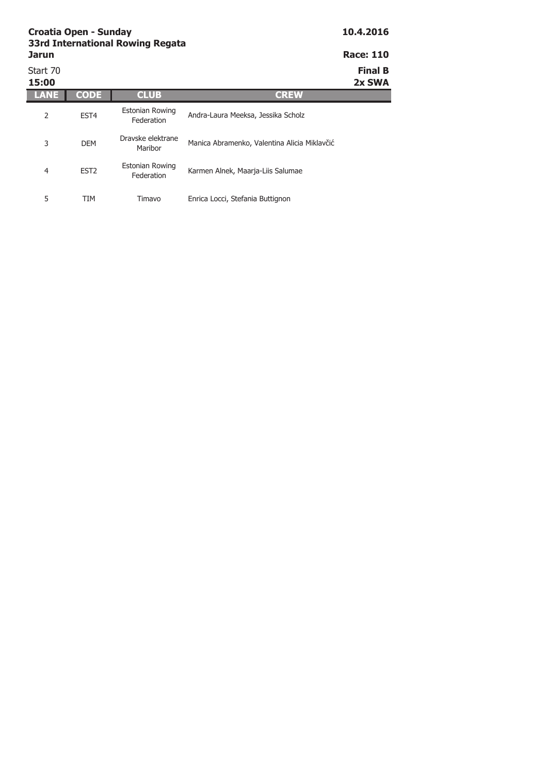| Croatia Open - Sunday<br><b>33rd International Rowing Regata</b><br><b>Jarun</b> |                  |                                      |                                              | 10.4.2016<br><b>Race: 110</b> |  |
|----------------------------------------------------------------------------------|------------------|--------------------------------------|----------------------------------------------|-------------------------------|--|
| Start 70<br>15:00                                                                |                  |                                      |                                              | <b>Final B</b><br>2x SWA      |  |
| LANE                                                                             | <b>CODE</b>      | <b>CLUB</b>                          | <b>CREW</b>                                  |                               |  |
| 2                                                                                | EST <sub>4</sub> | <b>Estonian Rowing</b><br>Federation | Andra-Laura Meeksa, Jessika Scholz           |                               |  |
| 3                                                                                | <b>DEM</b>       | Dravske elektrane<br>Maribor         | Manica Abramenko, Valentina Alicia Miklavčić |                               |  |
| 4                                                                                | EST <sub>2</sub> | <b>Estonian Rowing</b><br>Federation | Karmen Alnek, Maarja-Liis Salumae            |                               |  |

5 TIM Timavo Enrica Locci, Stefania Buttignon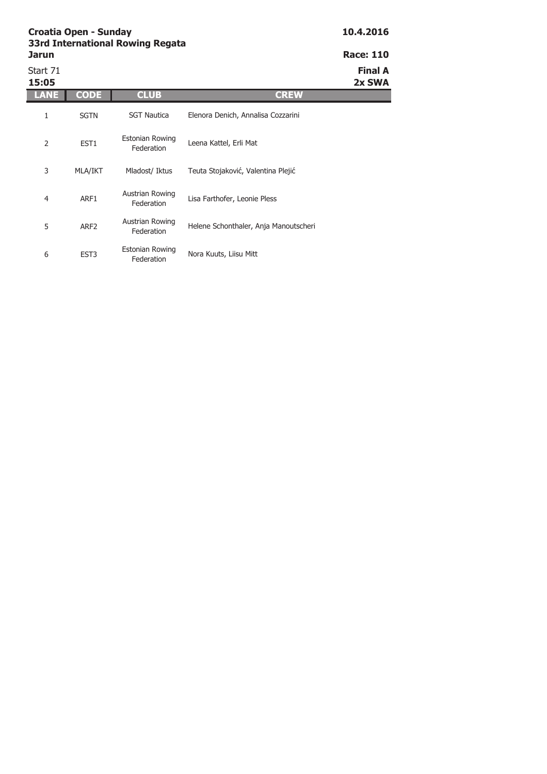| <b>Jarun</b>      |                  |                               |                                       | <b>Race: 110</b>         |
|-------------------|------------------|-------------------------------|---------------------------------------|--------------------------|
| Start 71<br>15:05 |                  |                               |                                       | <b>Final A</b><br>2x SWA |
| LANE              | <b>CODE</b>      | <b>CLUB</b>                   | <b>CREW</b>                           |                          |
| 1                 | <b>SGTN</b>      | <b>SGT Nautica</b>            | Elenora Denich, Annalisa Cozzarini    |                          |
| $\overline{2}$    | EST <sub>1</sub> | Estonian Rowing<br>Federation | Leena Kattel, Erli Mat                |                          |
| 3                 | MLA/IKT          | Mladost/ Iktus                | Teuta Stojaković, Valentina Plejić    |                          |
| 4                 | ARF1             | Austrian Rowing<br>Federation | Lisa Farthofer, Leonie Pless          |                          |
| 5                 | ARF <sub>2</sub> | Austrian Rowing<br>Federation | Helene Schonthaler, Anja Manoutscheri |                          |
| 6                 | EST <sub>3</sub> | Estonian Rowing<br>Federation | Nora Kuuts, Liisu Mitt                |                          |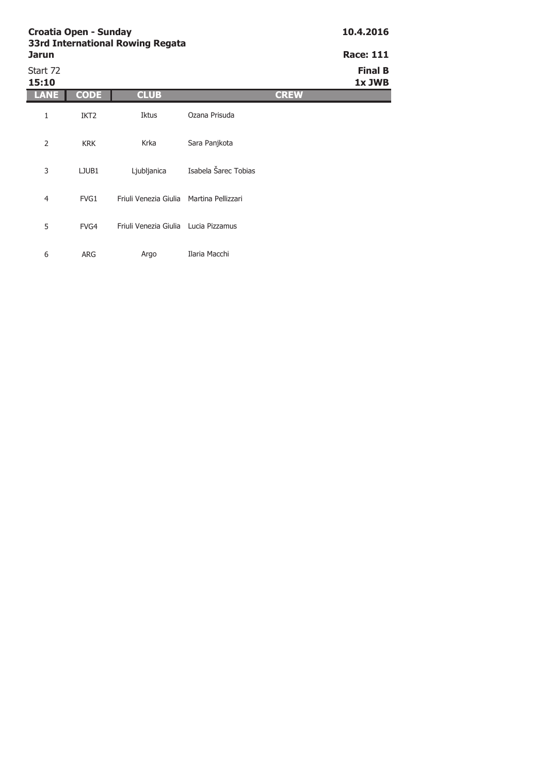| <b>Jarun</b>      |                  | <b>SSIG INCHREGORIAL ROWING Regata</b>   |                      |             | <b>Race: 111</b>         |
|-------------------|------------------|------------------------------------------|----------------------|-------------|--------------------------|
| Start 72<br>15:10 |                  |                                          |                      |             | <b>Final B</b><br>1x JWB |
| LANE              | <b>CODE</b>      | <b>CLUB</b>                              |                      | <b>CREW</b> |                          |
| 1                 | IKT <sub>2</sub> | Iktus                                    | Ozana Prisuda        |             |                          |
| $\overline{2}$    | <b>KRK</b>       | Krka                                     | Sara Panjkota        |             |                          |
| 3                 | LJUB1            | Ljubljanica                              | Isabela Šarec Tobias |             |                          |
| $\overline{4}$    | FVG1             | Friuli Venezia Giulia Martina Pellizzari |                      |             |                          |
| 5                 | FVG4             | Friuli Venezia Giulia Lucia Pizzamus     |                      |             |                          |
| 6                 | <b>ARG</b>       | Argo                                     | Ilaria Macchi        |             |                          |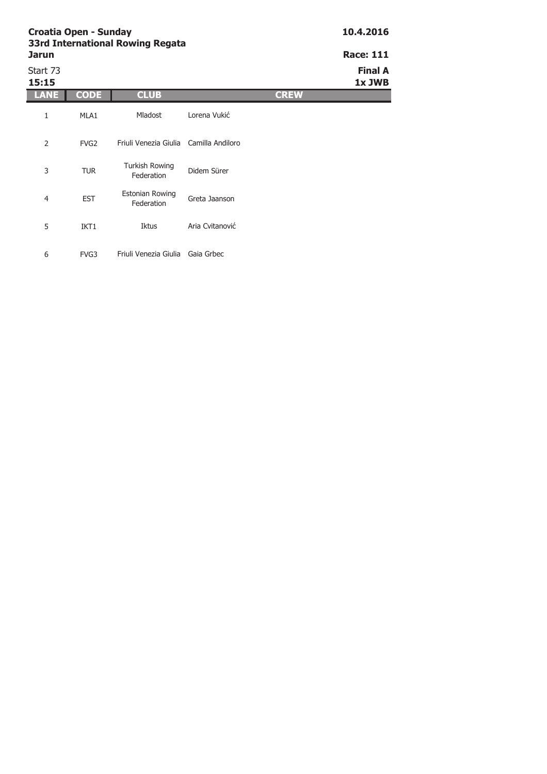π

| <b>Jarun</b><br>Start 73<br>15:15 | <b>Race: 111</b><br><b>Final A</b><br>1x JWB |                                        |                 |  |
|-----------------------------------|----------------------------------------------|----------------------------------------|-----------------|--|
| LANE                              | <b>CODE</b>                                  | <b>CLUB</b>                            | <b>CREW</b>     |  |
| 1                                 | MLA1                                         | Mladost                                | Lorena Vukić    |  |
| $\overline{2}$                    | FVG <sub>2</sub>                             | Friuli Venezia Giulia Camilla Andiloro |                 |  |
| 3                                 | <b>TUR</b>                                   | <b>Turkish Rowing</b><br>Federation    | Didem Sürer     |  |
| $\overline{4}$                    | <b>EST</b>                                   | <b>Estonian Rowing</b><br>Federation   | Greta Jaanson   |  |
| 5                                 | IKT1                                         | Iktus                                  | Aria Cvitanović |  |
| 6                                 | FVG3                                         | Friuli Venezia Giulia                  | Gaia Grbec      |  |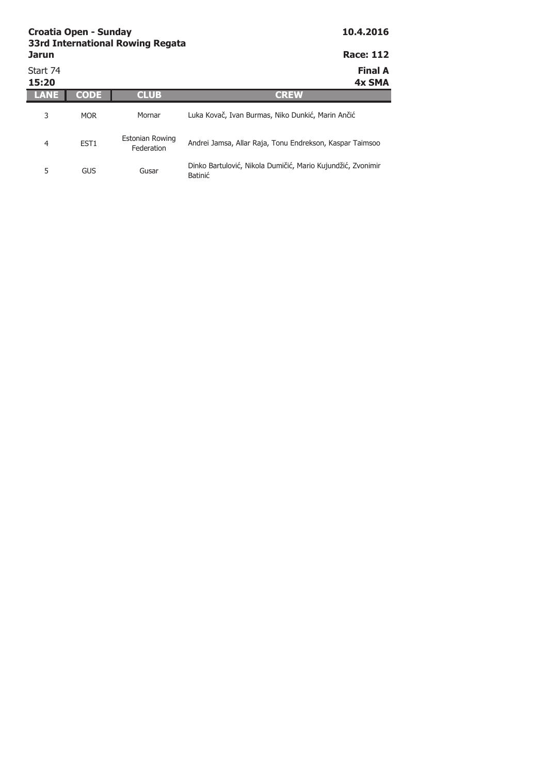| Croatia Open - Sunday<br><b>33rd International Rowing Regata</b> |                  |                                      | 10.4.2016                                                              |
|------------------------------------------------------------------|------------------|--------------------------------------|------------------------------------------------------------------------|
| <b>Jarun</b>                                                     |                  |                                      | <b>Race: 112</b>                                                       |
| Start 74<br>15:20                                                |                  |                                      | <b>Final A</b><br>4x SMA                                               |
|                                                                  | <b>CODE</b>      | <b>CLUB</b>                          | <b>CREW</b>                                                            |
| 3                                                                | <b>MOR</b>       | Mornar                               | Luka Kovač, Ivan Burmas, Niko Dunkić, Marin Ančić                      |
| 4                                                                | EST <sub>1</sub> | <b>Estonian Rowing</b><br>Federation | Andrei Jamsa, Allar Raja, Tonu Endrekson, Kaspar Taimsoo               |
| 5                                                                | GUS              | Gusar                                | Dinko Bartulović, Nikola Dumičić, Mario Kujundžić, Zvonimir<br>Batinić |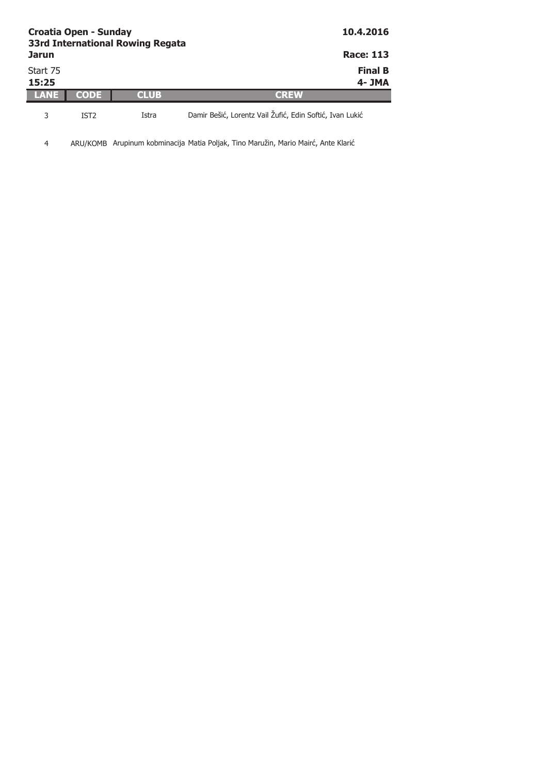| <b>Croatia Open - Sunday</b><br><b>33rd International Rowing Regata</b><br><b>Jarun</b> |      |       | 10.4.2016<br><b>Race: 113</b>                            |
|-----------------------------------------------------------------------------------------|------|-------|----------------------------------------------------------|
| Start 75<br>15:25                                                                       |      |       | <b>Final B</b><br>4- JMA                                 |
| TANE                                                                                    | CODE | CLUB  | 'delaw                                                   |
|                                                                                         | IST2 | Istra | Damir Bešić, Lorentz Vail Žufić, Edin Softić, Ivan Lukić |

4 ARU/KOMB Arupinum kobminacija Matia Poljak, Tino Maružin, Mario Mairć, Ante Klarić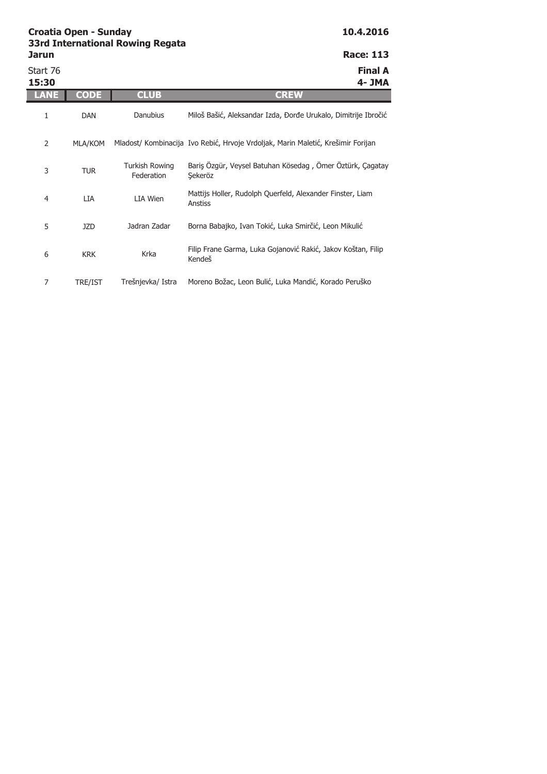| Jarun             |             | <b>SSIG International Rowing Regata</b> | <b>Race: 113</b>                                                                 |
|-------------------|-------------|-----------------------------------------|----------------------------------------------------------------------------------|
| Start 76<br>15:30 |             |                                         | <b>Final A</b><br>4- JMA                                                         |
| LANE              | <b>CODE</b> | <b>CLUB</b>                             | <b>CREW</b>                                                                      |
| 1                 | <b>DAN</b>  | <b>Danubius</b>                         | Miloš Bašić, Aleksandar Izda, Đorđe Urukalo, Dimitrije Ibročić                   |
| 2                 | MLA/KOM     |                                         | Mladost/ Kombinacija Ivo Rebić, Hrvoje Vrdoljak, Marin Maletić, Krešimir Forijan |
| 3                 | <b>TUR</b>  | <b>Turkish Rowing</b><br>Federation     | Bariş Özgür, Veysel Batuhan Kösedag, Ömer Öztürk, Çagatay<br>Sekeröz             |
| 4                 | <b>LIA</b>  | LIA Wien                                | Mattijs Holler, Rudolph Querfeld, Alexander Finster, Liam<br>Anstiss             |
| 5                 | <b>JZD</b>  | Jadran Zadar                            | Borna Babajko, Ivan Tokić, Luka Smirčić, Leon Mikulić                            |
| 6                 | <b>KRK</b>  | Krka                                    | Filip Frane Garma, Luka Gojanović Rakić, Jakov Koštan, Filip<br>Kendeš           |
| $\overline{7}$    | TRE/IST     | Trešnjevka/ Istra                       | Moreno Božac, Leon Bulić, Luka Mandić, Korado Peruško                            |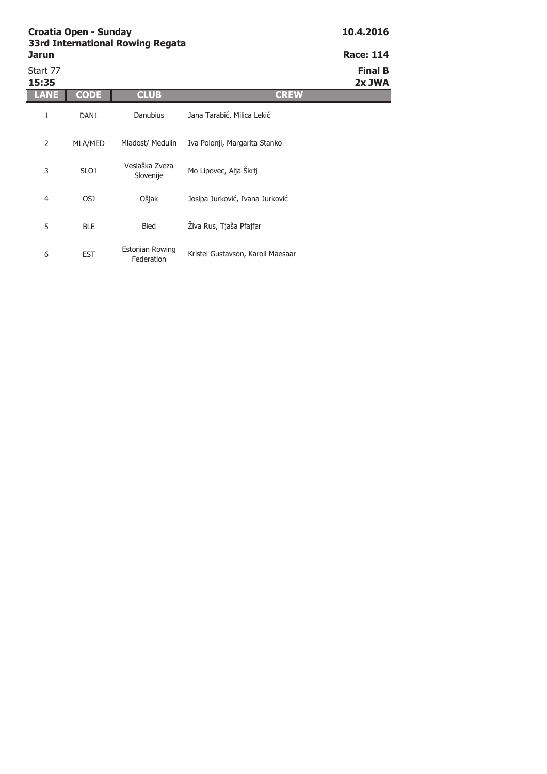| <b>Jarun</b>      |                  |                                      |                                   | <b>Race: 114</b>         |
|-------------------|------------------|--------------------------------------|-----------------------------------|--------------------------|
| Start 77<br>15:35 |                  |                                      |                                   | <b>Final B</b><br>2x JWA |
| ANE               | <b>CODE</b>      | <b>CLUB</b>                          | <b>CREW</b>                       |                          |
| 1                 | DAN <sub>1</sub> | Danubius                             | Jana Tarabić, Milica Lekić        |                          |
| $\overline{2}$    | MLA/MED          | Mladost/ Medulin                     | Iva Polonji, Margarita Stanko     |                          |
| 3                 | SLO1             | Veslaška Zveza<br>Slovenije          | Mo Lipovec, Alja Škrlj            |                          |
| $\overline{4}$    | OŠJ              | Ošjak                                | Josipa Jurković, Ivana Jurković   |                          |
| 5                 | <b>BLE</b>       | <b>Bled</b>                          | Živa Rus, Tjaša Pfajfar           |                          |
| 6                 | <b>EST</b>       | <b>Estonian Rowing</b><br>Federation | Kristel Gustavson, Karoli Maesaar |                          |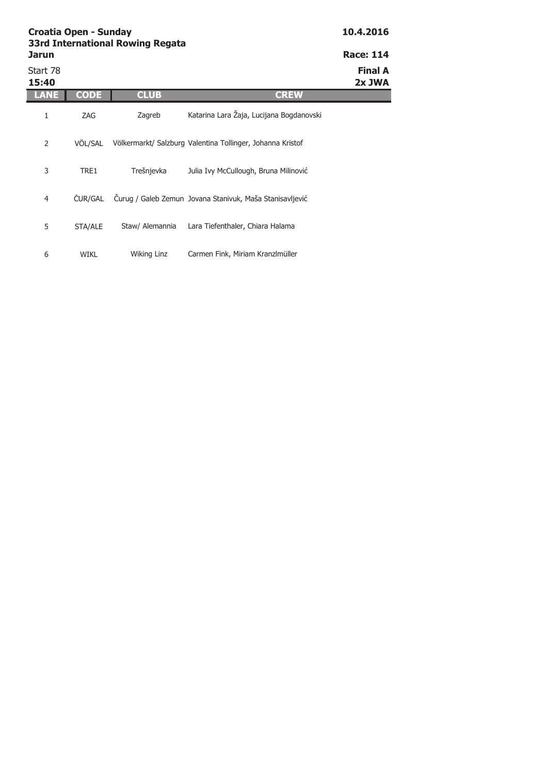| Jarun             |             |                 |                                                            | <b>Race: 114</b>         |
|-------------------|-------------|-----------------|------------------------------------------------------------|--------------------------|
| Start 78<br>15:40 |             |                 |                                                            | <b>Final A</b><br>2x JWA |
| <b>TANE</b>       | CODE        | <b>CLUB</b>     | <b>CREW</b>                                                |                          |
| 1                 | ZAG         | Zagreb          | Katarina Lara Žaja, Lucijana Bogdanovski                   |                          |
| 2                 | VÖL/SAL     |                 | Völkermarkt/ Salzburg Valentina Tollinger, Johanna Kristof |                          |
| 3                 | TRE1        | Trešnjevka      | Julia Ivy McCullough, Bruna Milinović                      |                          |
| 4                 | ČUR/GAL     |                 | Čurug / Galeb Zemun Jovana Stanivuk, Maša Stanisavljević   |                          |
| 5                 | STA/ALE     | Staw/ Alemannia | Lara Tiefenthaler, Chiara Halama                           |                          |
| 6                 | <b>WIKL</b> | Wiking Linz     | Carmen Fink, Miriam Kranzlmüller                           |                          |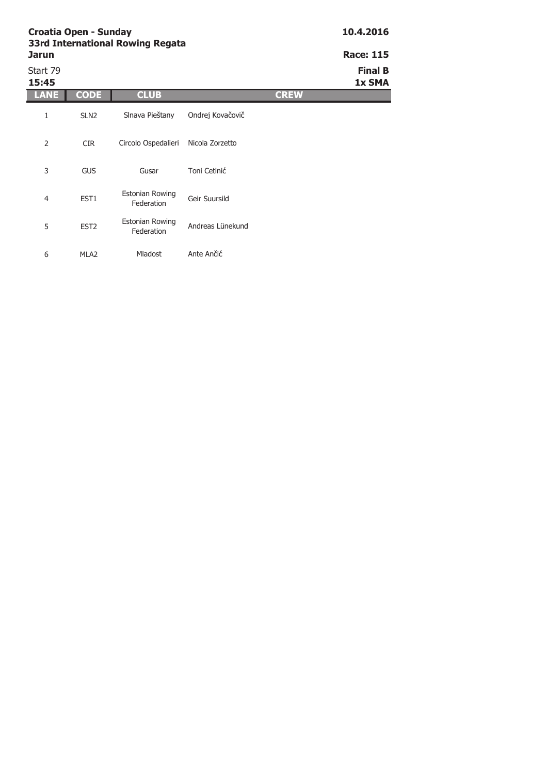| <b>Jarun</b>      |                  |                                      |                  | <b>Race: 115</b>         |
|-------------------|------------------|--------------------------------------|------------------|--------------------------|
| Start 79<br>15:45 |                  |                                      |                  | <b>Final B</b><br>1x SMA |
| LANE              | <b>CODE</b>      | <b>CLUB</b>                          | <b>CREW</b>      |                          |
| 1                 | SLN <sub>2</sub> | Slnava Pieštany                      | Ondrej Kovačovič |                          |
| $\overline{2}$    | <b>CIR</b>       | Circolo Ospedalieri                  | Nicola Zorzetto  |                          |
| 3                 | <b>GUS</b>       | Gusar                                | Toni Cetinić     |                          |
| $\overline{4}$    | EST1             | <b>Estonian Rowing</b><br>Federation | Geir Suursild    |                          |
| 5                 | EST <sub>2</sub> | <b>Estonian Rowing</b><br>Federation | Andreas Lünekund |                          |
| 6                 | MLA <sub>2</sub> | Mladost                              | Ante Ančić       |                          |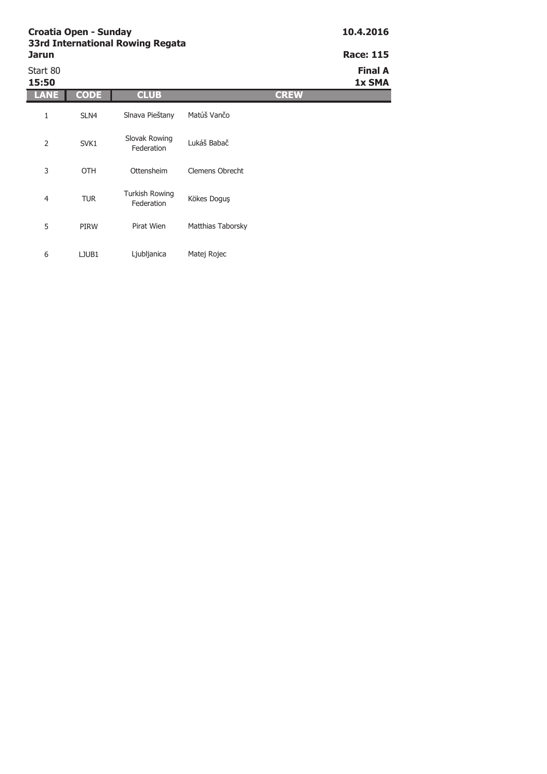| <b>Race: 115</b>         |             | <b>331 General Mowing Regate</b><br>Jarun |                                     |             |                   |  |
|--------------------------|-------------|-------------------------------------------|-------------------------------------|-------------|-------------------|--|
| <b>Final A</b><br>1x SMA |             |                                           |                                     |             | Start 80<br>15:50 |  |
|                          | <b>CREW</b> |                                           | <b>CLUB</b>                         | <b>CODE</b> | LANE              |  |
|                          |             | Matúš Vančo                               | Slnava Pieštany                     | SLN4        | 1                 |  |
|                          |             | Lukáš Babač                               | Slovak Rowing<br>Federation         | SVK1        | $\overline{2}$    |  |
|                          |             | Clemens Obrecht                           | Ottensheim                          | <b>OTH</b>  | 3                 |  |
|                          |             | Kökes Doguş                               | <b>Turkish Rowing</b><br>Federation | <b>TUR</b>  | $\overline{4}$    |  |
|                          |             | Matthias Taborsky                         | Pirat Wien                          | PIRW        | 5                 |  |
|                          |             | Matej Rojec                               | Ljubljanica                         | LJUB1       | 6                 |  |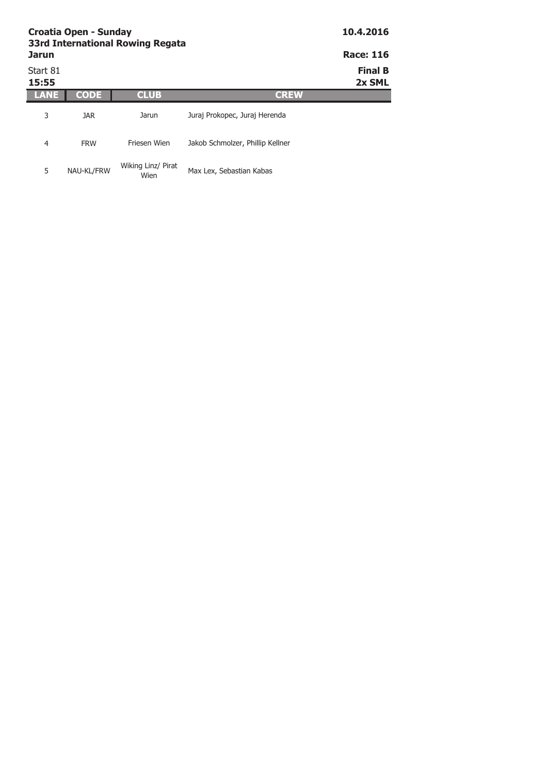| <b>Croatia Open - Sunday</b><br><b>33rd International Rowing Regata</b> | 10.4.2016   |                            |                                  |                          |
|-------------------------------------------------------------------------|-------------|----------------------------|----------------------------------|--------------------------|
| <b>Jarun</b>                                                            |             |                            |                                  | <b>Race: 116</b>         |
| Start 81<br>15:55                                                       |             |                            |                                  | <b>Final B</b><br>2x SML |
| ANE                                                                     | <b>CODE</b> | <b>CLUB</b>                | <b>CREW</b>                      |                          |
| 3                                                                       | JAR.        | Jarun                      | Juraj Prokopec, Juraj Herenda    |                          |
| 4                                                                       | <b>FRW</b>  | Friesen Wien               | Jakob Schmolzer, Phillip Kellner |                          |
| 5                                                                       | NAU-KL/FRW  | Wiking Linz/ Pirat<br>Wien | Max Lex, Sebastian Kabas         |                          |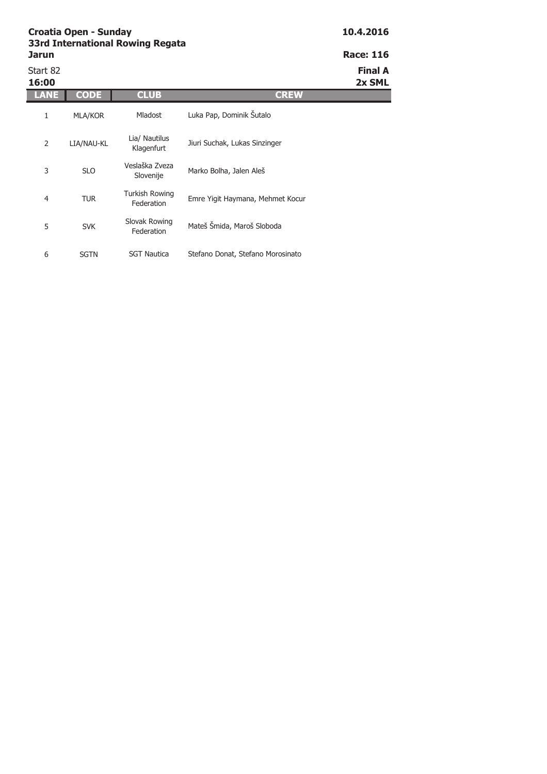| Jarun             |             | 33rd International Rowing Regata    |                                   | <b>Race: 116</b>         |
|-------------------|-------------|-------------------------------------|-----------------------------------|--------------------------|
| Start 82<br>16:00 |             |                                     |                                   | <b>Final A</b><br>2x SML |
| <b>LANE</b>       | CODE        | <b>CLUB</b>                         | <b>CREW</b>                       |                          |
| 1                 | MLA/KOR     | <b>Mladost</b>                      | Luka Pap, Dominik Šutalo          |                          |
| 2                 | LIA/NAU-KL  | Lia/ Nautilus<br>Klagenfurt         | Jiuri Suchak, Lukas Sinzinger     |                          |
| 3                 | <b>SLO</b>  | Veslaška Zveza<br>Slovenije         | Marko Bolha, Jalen Aleš           |                          |
| 4                 | <b>TUR</b>  | <b>Turkish Rowing</b><br>Federation | Emre Yigit Haymana, Mehmet Kocur  |                          |
| 5                 | <b>SVK</b>  | Slovak Rowing<br>Federation         | Mateš Šmida, Maroš Sloboda        |                          |
| 6                 | <b>SGTN</b> | <b>SGT Nautica</b>                  | Stefano Donat, Stefano Morosinato |                          |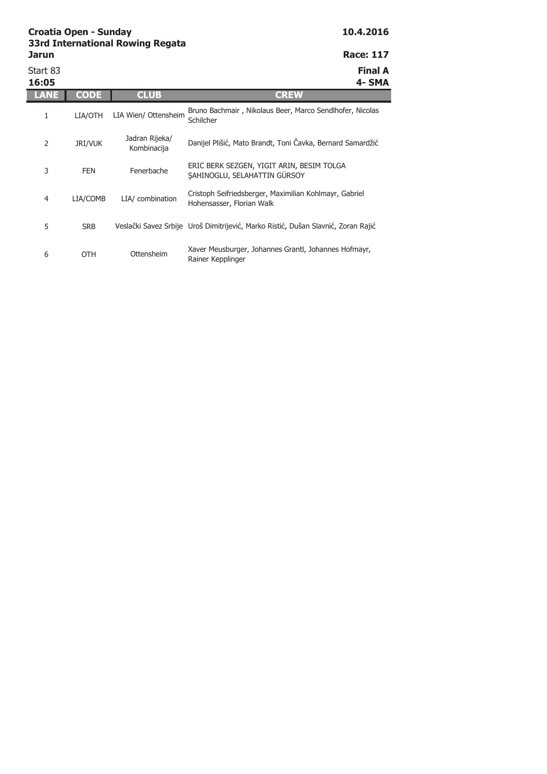Start 83 **Final A 16:05 4- SMA LANE CODE CLUB CREW** 1 LIA/OTH 2 JRI/VUK LIA Wien/ Ottensheim Bruno Bachmair , Nikolaus Beer, Marco Sendlhofer, Nicolas Schilcher Jadran Rijeka/ adran Kijeka/<br>Kombinacija Danijel Plišić, Mato Brandt, Toni Čavka, Bernard Samardžić

3 FEN 4 LIA/COMB 5 SRB LIA/ combination Cristoph Seifriedsberger, Maximilian Kohlmayr, Gabriel Hohensasser, Florian Walk Veslački Savez Srbije Uroš Dimitrijević, Marko Ristić, Dušan Slavnić, Zoran Rajić ERIC BERK SEZGEN, YIGIT ARIN, BESIM TOLGA ŞAHINOGLU, SELAHATTIN GÜRSOY

6 OTH Ottensheim Xaver Meusburger, Johannes Grantl, Johannes Hofmayr, Rainer Kepplinger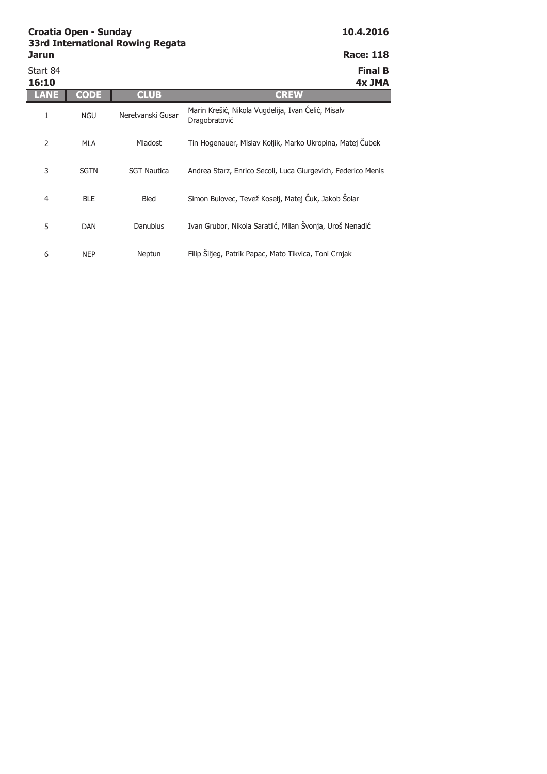| Jarun             |             |                    | <b>Race: 118</b>                                                    |
|-------------------|-------------|--------------------|---------------------------------------------------------------------|
| Start 84<br>16:10 |             |                    | <b>Final B</b><br>4x JMA                                            |
| LANE              | CODE        | <b>CLUB</b>        | <b>CREW</b>                                                         |
| 1                 | <b>NGU</b>  | Neretvanski Gusar  | Marin Krešić, Nikola Vugdelija, Ivan Ćelić, Misalv<br>Dragobratović |
| $\overline{2}$    | <b>MLA</b>  | <b>Mladost</b>     | Tin Hogenauer, Mislav Koljik, Marko Ukropina, Matej Čubek           |
| 3                 | <b>SGTN</b> | <b>SGT Nautica</b> | Andrea Starz, Enrico Secoli, Luca Giurgevich, Federico Menis        |
| $\overline{4}$    | <b>BLE</b>  | Bled               | Simon Bulovec, Tevež Koselj, Matej Čuk, Jakob Šolar                 |
| 5                 | <b>DAN</b>  | <b>Danubius</b>    | Ivan Grubor, Nikola Saratlić, Milan Švonja, Uroš Nenadić            |
| 6                 | <b>NEP</b>  | Neptun             | Filip Šiljeg, Patrik Papac, Mato Tikvica, Toni Crnjak               |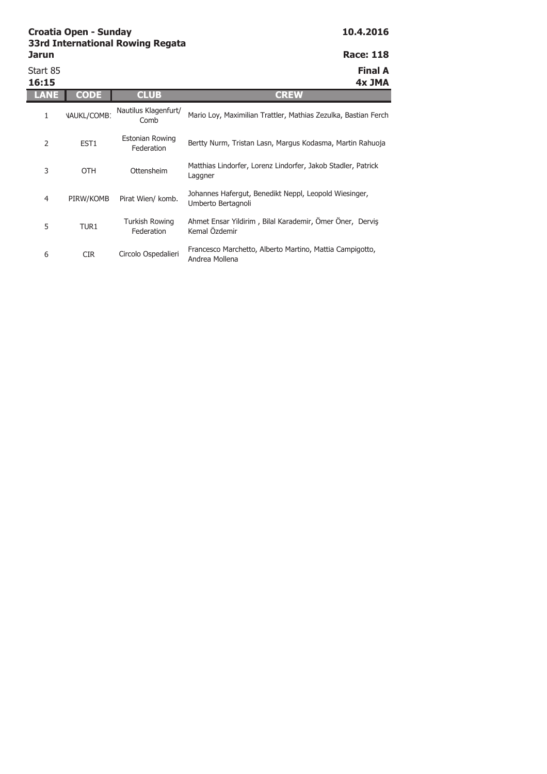| ssin millingunun iloming ilogulu |                  |
|----------------------------------|------------------|
| Jarun                            | <b>Race: 118</b> |
| Start 85                         | <b>Final A</b>   |

**16:15 4x JMA LANE CODE CLUB CREW** 1 NAUKL/COMB1 2 EST1 3 OTH 4 PIRW/KOMB 5 TUR1 Pirat Wien/ komb. Johannes Hafergut, Benedikt Neppl, Leopold Wiesinger, Umberto Bertagnoli Turkish Rowing Ahmet Ensar Yildirim , Bilal Karademir, Ömer Öner, Derviş Nautilus Klagenfurt/ Mario Loy, Maximilian Trattler, Mathias Zezulka, Bastian Ferch Estonian Rowing Federation Bertty Nurm, Tristan Lasn, Margus Kodasma, Martin Rahuoja Ottensheim Matthias Lindorfer, Lorenz Lindorfer, Jakob Stadler, Patrick Laggner

Federation

6 CIR Circolo Ospedalieri Francesco Marchetto, Alberto Martino, Mattia Campigotto, Andrea Mollena

Kemal Özdemir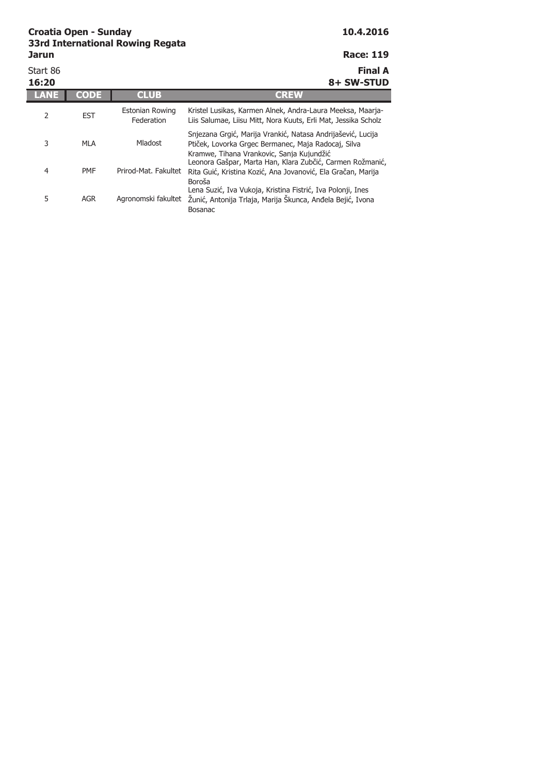Start 86 **Final A 16:20 8+ SW-STUD LANE CODE CLUB CREW** 2 EST 3 MLA 4 PMF 5 AGR Agronomski fakultet Žunić, Antonija Trlaja, Marija Škunca, Anđela Bejić, Ivona Lena Suzić, Iva Vukoja, Kristina Fistrić, Iva Polonji, Ines Bosanac Estonian Rowing Federation Kristel Lusikas, Karmen Alnek, Andra-Laura Meeksa, Maarja-Liis Salumae, Liisu Mitt, Nora Kuuts, Erli Mat, Jessika Scholz Mladost Snjezana Grgić, Marija Vrankić, Natasa Andrijašević, Lucija Ptiček, Lovorka Grgec Bermanec, Maja Radocaj, Silva Kramwe, Tihana Vrankovic, Sanja Kujundžić Prirod-Mat. Fakultet Rita Guić, Kristina Kozić, Ana Jovanović, Ela Gračan, Marija Leonora Gašpar, Marta Han, Klara Zubčić, Carmen Rožmanić, Boroša